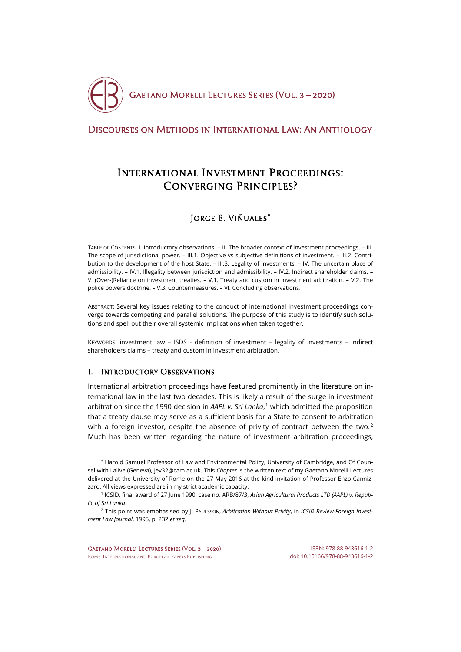

## [Discourses on Methods in International Law: An Anthology](http://crde.unitelmasapienza.it/en/publications/gmls-2020)

# International Investment Proceedings: Converging Principles?

## Jorge E. Viñuales**[\\*](#page-0-0)**

TABLE OF CONTENTS: I. Introductory observations. – II. The broader context of investment proceedings. – III. The scope of jurisdictional power. – III.1. Objective vs subjective definitions of investment. – III.2. Contribution to the development of the host State. – III.3. Legality of investments. – IV. The uncertain place of admissibility. – IV.1. Illegality between jurisdiction and admissibility. – IV.2. Indirect shareholder claims. – V. (Over-)Reliance on investment treaties. – V.1. Treaty and custom in investment arbitration. – V.2. The police powers doctrine. – V.3. Countermeasures. – VI. Concluding observations.

ABSTRACT: Several key issues relating to the conduct of international investment proceedings converge towards competing and parallel solutions. The purpose of this study is to identify such solutions and spell out their overall systemic implications when taken together.

KEYWORDS: investment law – ISDS - definition of investment – legality of investments – indirect shareholders claims – treaty and custom in investment arbitration.

## I. Introductory Observations

International arbitration proceedings have featured prominently in the literature on international law in the last two decades. This is likely a result of the surge in investment arbitration since the 1990 decision in *AAPL v. Sri Lanka*, [1](#page-0-1) which admitted the proposition that a treaty clause may serve as a sufficient basis for a State to consent to arbitration with a foreign investor, despite the absence of privity of contract between the two. $2$ Much has been written regarding the nature of investment arbitration proceedings,

<span id="page-0-0"></span>\* Harold Samuel Professor of Law and Environmental Policy, University of Cambridge, and Of Counsel with Lalive (Geneva)[, jev32@cam.ac.uk.](mailto:jev32@cam.ac.uk) This *Chapter* is the written text of my Gaetano Morelli Lectures delivered at the University of Rome on the 27 May 2016 at the kind invitation of Professor Enzo Cannizzaro. All views expressed are in my strict academic capacity.

<span id="page-0-1"></span><sup>1</sup> ICSID, final award of 27 June 1990, case no. ARB/87/3, *Asian Agricultural Products LTD (AAPL) v. Republic of Sri Lanka*.

<span id="page-0-2"></span><sup>2</sup> This point was emphasised by J. PAULSSON, *Arbitration Without Privity*, in *ICSID Review-Foreign Investment Law Journal*, 1995, p. 232 *et seq*.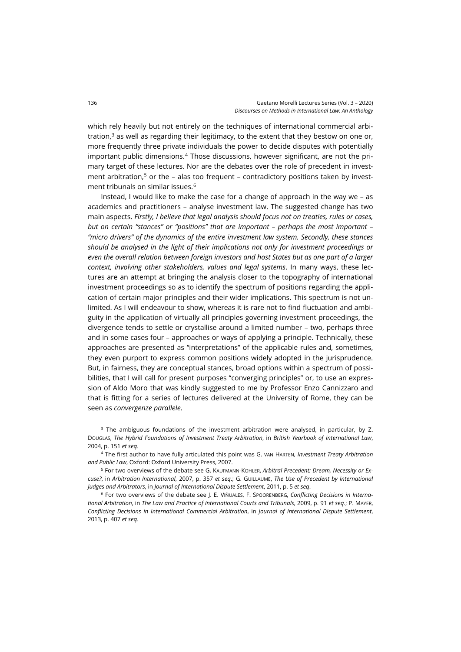which rely heavily but not entirely on the techniques of international commercial arbitration, $3$  as well as regarding their legitimacy, to the extent that they bestow on one or, more frequently three private individuals the power to decide disputes with potentially important public dimensions.<sup>[4](#page-1-1)</sup> Those discussions, however significant, are not the primary target of these lectures. Nor are the debates over the role of precedent in investment arbitration, [5](#page-1-2) or the – alas too frequent – contradictory positions taken by investment tribunals on similar issues.[6](#page-1-3)

Instead, I would like to make the case for a change of approach in the way we – as academics and practitioners – analyse investment law. The suggested change has two main aspects. *Firstly, I believe that legal analysis should focus not on treaties, rules or cases, but on certain "stances" or "positions" that are important – perhaps the most important – "micro drivers" of the dynamics of the entire investment law system. Secondly, these stances should be analysed in the light of their implications not only for investment proceedings or even the overall relation between foreign investors and host States but as one part of a larger context, involving other stakeholders, values and legal systems*. In many ways, these lectures are an attempt at bringing the analysis closer to the topography of international investment proceedings so as to identify the spectrum of positions regarding the application of certain major principles and their wider implications. This spectrum is not unlimited. As I will endeavour to show, whereas it is rare not to find fluctuation and ambiguity in the application of virtually all principles governing investment proceedings, the divergence tends to settle or crystallise around a limited number – two, perhaps three and in some cases four – approaches or ways of applying a principle. Technically, these approaches are presented as "interpretations" of the applicable rules and, sometimes, they even purport to express common positions widely adopted in the jurisprudence. But, in fairness, they are conceptual stances, broad options within a spectrum of possibilities, that I will call for present purposes "converging principles" or, to use an expression of Aldo Moro that was kindly suggested to me by Professor Enzo Cannizzaro and that is fitting for a series of lectures delivered at the University of Rome, they can be seen as *convergenze parallele*.

<span id="page-1-0"></span><sup>3</sup> The ambiguous foundations of the investment arbitration were analysed, in particular, by Z. DOUGLAS, *The Hybrid Foundations of Investment Treaty Arbitration*, in *British Yearbook of International Law*, 2004, p. 151 *et seq*.

<span id="page-1-1"></span><sup>4</sup> The first author to have fully articulated this point was G. VAN HARTEN, *Investment Treaty Arbitration and Public Law*, Oxford: Oxford University Press, 2007.

<span id="page-1-2"></span><sup>5</sup> For two overviews of the debate see G. KAUFMANN-KOHLER, *Arbitral Precedent: Dream, Necessity or Excuse?*, in *Arbitration International*, 2007, p. 357 *et seq*.; G. GUILLAUME, *The Use of Precedent by International Judges and Arbitrators*, in *Journal of International Dispute Settlement*, 2011, p. 5 *et seq*.

<span id="page-1-3"></span><sup>6</sup> For two overviews of the debate see J. E. VIÑUALES, F. SPOORENBERG, *Conflicting Decisions in International Arbitration*, in *The Law and Practice of International Courts and Tribunals*, 2009, p. 91 *et seq*.; P. MAYER, *Conflicting Decisions in International Commercial Arbitration*, in *Journal of International Dispute Settlement*, 2013, p. 407 *et seq*.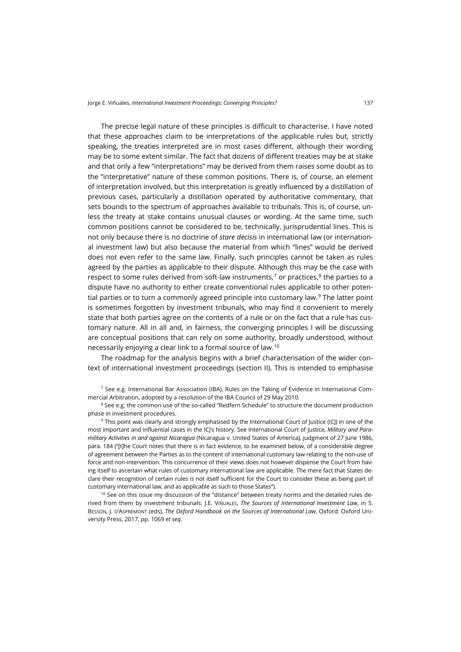The precise legal nature of these principles is difficult to characterise. I have noted that these approaches claim to be interpretations of the applicable rules but, strictly speaking, the treaties interpreted are in most cases different, although their wording may be to some extent similar. The fact that dozens of different treaties may be at stake and that only a few "interpretations" may be derived from them raises some doubt as to the "interpretative" nature of these common positions. There is, of course, an element of interpretation involved, but this interpretation is greatly influenced by a distillation of previous cases, particularly a distillation operated by authoritative commentary, that sets bounds to the spectrum of approaches available to tribunals. This is, of course, unless the treaty at stake contains unusual clauses or wording. At the same time, such common positions cannot be considered to be, technically, jurisprudential lines. This is not only because there is no doctrine of *stare decisis* in international law (or international investment law) but also because the material from which "lines" would be derived does not even refer to the same law. Finally, such principles cannot be taken as rules agreed by the parties as applicable to their dispute. Although this may be the case with respect to some rules derived from soft-law instruments, $^7$  $^7$  or practices, $^8$  $^8$  the parties to a dispute have no authority to either create conventional rules applicable to other poten-tial parties or to turn a commonly agreed principle into customary law.<sup>[9](#page-2-2)</sup> The latter point is sometimes forgotten by investment tribunals, who may find it convenient to merely state that both parties agree on the contents of a rule or on the fact that a rule has customary nature. All in all and, in fairness, the converging principles I will be discussing are conceptual positions that can rely on some authority, broadly understood, without necessarily enjoying a clear link to a formal source of law.[10](#page-2-3)

The roadmap for the analysis begins with a brief characterisation of the wider context of international investment proceedings (section II). This is intended to emphasise

<span id="page-2-0"></span> $7$  See e.g. International Bar Association (IBA), Rules on the Taking of Evidence in International Commercial Arbitration, adopted by a resolution of the IBA Council of 29 May 2010.

<span id="page-2-1"></span><sup>8</sup> See e.g. the common use of the so-called "Redfern Schedule" to structure the document production phase in investment procedures.

<span id="page-2-2"></span><sup>9</sup> This point was clearly and strongly emphasised by the International Court of Justice (ICJ) in one of the most important and influential cases in the ICJ's history. See International Court of Justice, *Military and Paramilitary Activities in and against Nicaragua* (Nicaragua v. United States of America), judgment of 27 June 1986, para. 184 ("[t]he Court notes that there is in fact evidence, to be examined below, of a considerable degree of agreement between the Parties as to the content of international customary law relating to the non-use of force and non-intervention. This concurrence of their views does not however dispense the Court from having itself to ascertain what rules of customary international law are applicable. The mere fact that States declare their recognition of certain rules is not itself sufficient for the Court to consider these as being part of customary international law, and as applicable as such to those States").

<span id="page-2-3"></span> $10$  See on this issue my discussion of the "distance" between treaty norms and the detailed rules derived from them by investment tribunals: J.E. VIÑUALES, *The Sources of International Investment Law*, in S. BESSON, J. D'ASPREMONT (eds), *The Oxford Handbook on the Sources of International Law*, Oxford: Oxford University Press, 2017, pp. 1069 *et seq*.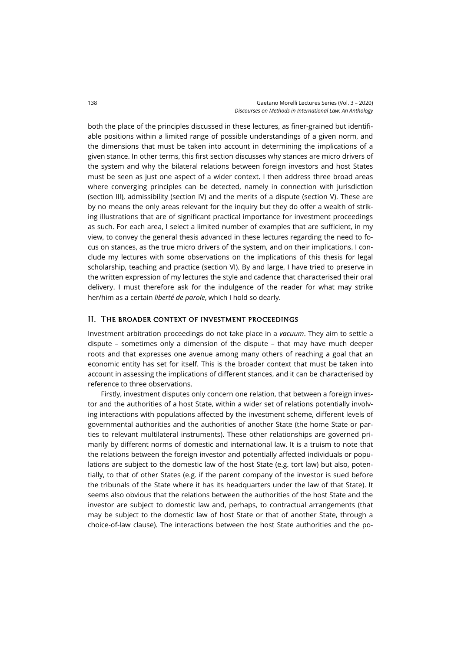both the place of the principles discussed in these lectures, as finer-grained but identifiable positions within a limited range of possible understandings of a given norm, and the dimensions that must be taken into account in determining the implications of a given stance. In other terms, this first section discusses why stances are micro drivers of the system and why the bilateral relations between foreign investors and host States must be seen as just one aspect of a wider context. I then address three broad areas where converging principles can be detected, namely in connection with jurisdiction (section III), admissibility (section IV) and the merits of a dispute (section V). These are by no means the only areas relevant for the inquiry but they do offer a wealth of striking illustrations that are of significant practical importance for investment proceedings as such. For each area, I select a limited number of examples that are sufficient, in my view, to convey the general thesis advanced in these lectures regarding the need to focus on stances, as the true micro drivers of the system, and on their implications. I conclude my lectures with some observations on the implications of this thesis for legal scholarship, teaching and practice (section VI). By and large, I have tried to preserve in the written expression of my lectures the style and cadence that characterised their oral delivery. I must therefore ask for the indulgence of the reader for what may strike her/him as a certain *liberté de parole*, which I hold so dearly.

## II. The broader context of investment proceedings

Investment arbitration proceedings do not take place in a *vacuum*. They aim to settle a dispute – sometimes only a dimension of the dispute – that may have much deeper roots and that expresses one avenue among many others of reaching a goal that an economic entity has set for itself. This is the broader context that must be taken into account in assessing the implications of different stances, and it can be characterised by reference to three observations.

Firstly, investment disputes only concern one relation, that between a foreign investor and the authorities of a host State, within a wider set of relations potentially involving interactions with populations affected by the investment scheme, different levels of governmental authorities and the authorities of another State (the home State or parties to relevant multilateral instruments). These other relationships are governed primarily by different norms of domestic and international law. It is a truism to note that the relations between the foreign investor and potentially affected individuals or populations are subject to the domestic law of the host State (e.g. tort law) but also, potentially, to that of other States (e.g. if the parent company of the investor is sued before the tribunals of the State where it has its headquarters under the law of that State). It seems also obvious that the relations between the authorities of the host State and the investor are subject to domestic law and, perhaps, to contractual arrangements (that may be subject to the domestic law of host State or that of another State, through a choice-of-law clause). The interactions between the host State authorities and the po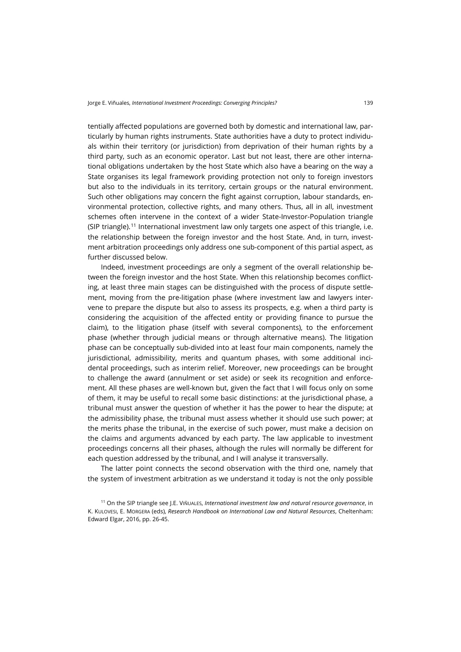tentially affected populations are governed both by domestic and international law, particularly by human rights instruments. State authorities have a duty to protect individuals within their territory (or jurisdiction) from deprivation of their human rights by a third party, such as an economic operator. Last but not least, there are other international obligations undertaken by the host State which also have a bearing on the way a State organises its legal framework providing protection not only to foreign investors but also to the individuals in its territory, certain groups or the natural environment. Such other obligations may concern the fight against corruption, labour standards, environmental protection, collective rights, and many others. Thus, all in all, investment schemes often intervene in the context of a wider State-Investor-Population triangle (SIP triangle).<sup>[11](#page-4-0)</sup> International investment law only targets one aspect of this triangle, i.e. the relationship between the foreign investor and the host State. And, in turn, investment arbitration proceedings only address one sub-component of this partial aspect, as further discussed below.

Indeed, investment proceedings are only a segment of the overall relationship between the foreign investor and the host State. When this relationship becomes conflicting, at least three main stages can be distinguished with the process of dispute settlement, moving from the pre-litigation phase (where investment law and lawyers intervene to prepare the dispute but also to assess its prospects, e.g. when a third party is considering the acquisition of the affected entity or providing finance to pursue the claim), to the litigation phase (itself with several components), to the enforcement phase (whether through judicial means or through alternative means). The litigation phase can be conceptually sub-divided into at least four main components, namely the jurisdictional, admissibility, merits and quantum phases, with some additional incidental proceedings, such as interim relief. Moreover, new proceedings can be brought to challenge the award (annulment or set aside) or seek its recognition and enforcement. All these phases are well-known but, given the fact that I will focus only on some of them, it may be useful to recall some basic distinctions: at the jurisdictional phase, a tribunal must answer the question of whether it has the power to hear the dispute; at the admissibility phase, the tribunal must assess whether it should use such power; at the merits phase the tribunal, in the exercise of such power, must make a decision on the claims and arguments advanced by each party. The law applicable to investment proceedings concerns all their phases, although the rules will normally be different for each question addressed by the tribunal, and I will analyse it transversally.

The latter point connects the second observation with the third one, namely that the system of investment arbitration as we understand it today is not the only possible

<span id="page-4-0"></span><sup>11</sup> On the SIP triangle see J.E. VIÑUALES, *International investment law and natural resource governance*, in K. KULOVESI, E. MORGERA (eds), *Research Handbook on International Law and Natural Resources*, Cheltenham: Edward Elgar, 2016, pp. 26-45.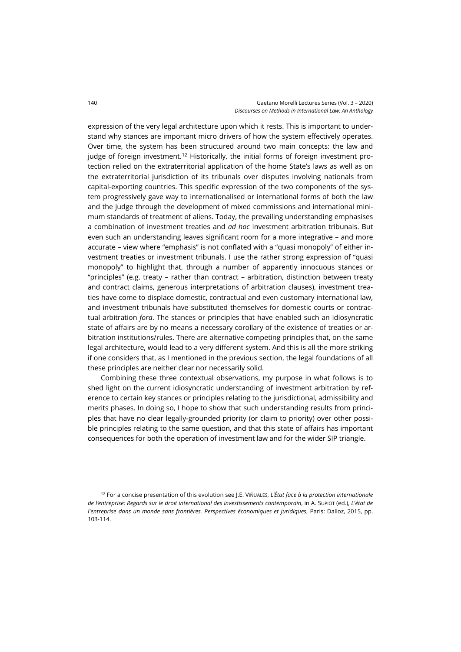expression of the very legal architecture upon which it rests. This is important to understand why stances are important micro drivers of how the system effectively operates. Over time, the system has been structured around two main concepts: the law and judge of foreign investment.<sup>[12](#page-5-0)</sup> Historically, the initial forms of foreign investment protection relied on the extraterritorial application of the home State's laws as well as on the extraterritorial jurisdiction of its tribunals over disputes involving nationals from capital-exporting countries. This specific expression of the two components of the system progressively gave way to internationalised or international forms of both the law and the judge through the development of mixed commissions and international minimum standards of treatment of aliens. Today, the prevailing understanding emphasises a combination of investment treaties and *ad hoc* investment arbitration tribunals. But even such an understanding leaves significant room for a more integrative – and more accurate – view where "emphasis" is not conflated with a "quasi monopoly" of either investment treaties or investment tribunals. I use the rather strong expression of "quasi monopoly" to highlight that, through a number of apparently innocuous stances or "principles" (e.g. treaty – rather than contract – arbitration, distinction between treaty and contract claims, generous interpretations of arbitration clauses), investment treaties have come to displace domestic, contractual and even customary international law, and investment tribunals have substituted themselves for domestic courts or contractual arbitration *fora*. The stances or principles that have enabled such an idiosyncratic state of affairs are by no means a necessary corollary of the existence of treaties or arbitration institutions/rules. There are alternative competing principles that, on the same legal architecture, would lead to a very different system. And this is all the more striking if one considers that, as I mentioned in the previous section, the legal foundations of all these principles are neither clear nor necessarily solid.

Combining these three contextual observations, my purpose in what follows is to shed light on the current idiosyncratic understanding of investment arbitration by reference to certain key stances or principles relating to the jurisdictional, admissibility and merits phases. In doing so, I hope to show that such understanding results from principles that have no clear legally-grounded priority (or claim to priority) over other possible principles relating to the same question, and that this state of affairs has important consequences for both the operation of investment law and for the wider SIP triangle.

<span id="page-5-0"></span><sup>12</sup> For a concise presentation of this evolution see J.E. VIÑUALES, *L'État face à la protection internationale de l'entreprise: Regards sur le droit international des investissements contemporain*, in A. SUPIOT (ed.), *L'état de l'entreprise dans un monde sans frontières. Perspectives économiques et juridiques*, Paris: Dalloz, 2015, pp. 103-114.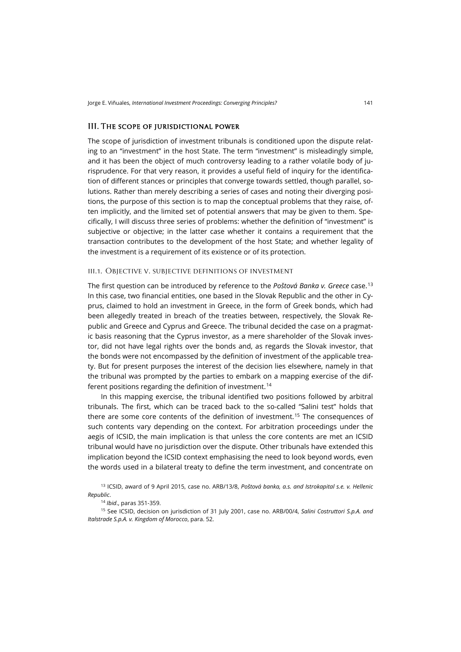## III. The scope of jurisdictional power

The scope of jurisdiction of investment tribunals is conditioned upon the dispute relating to an "investment" in the host State. The term "investment" is misleadingly simple, and it has been the object of much controversy leading to a rather volatile body of jurisprudence. For that very reason, it provides a useful field of inquiry for the identification of different stances or principles that converge towards settled, though parallel, solutions. Rather than merely describing a series of cases and noting their diverging positions, the purpose of this section is to map the conceptual problems that they raise, often implicitly, and the limited set of potential answers that may be given to them. Specifically, I will discuss three series of problems: whether the definition of "investment" is subjective or objective; in the latter case whether it contains a requirement that the transaction contributes to the development of the host State; and whether legality of the investment is a requirement of its existence or of its protection.

## iii.1. Objective v. subjective definitions of investment

The first question can be introduced by reference to the *Poštová Banka v. Greece* case.[13](#page-6-0) In this case, two financial entities, one based in the Slovak Republic and the other in Cyprus, claimed to hold an investment in Greece, in the form of Greek bonds, which had been allegedly treated in breach of the treaties between, respectively, the Slovak Republic and Greece and Cyprus and Greece. The tribunal decided the case on a pragmatic basis reasoning that the Cyprus investor, as a mere shareholder of the Slovak investor, did not have legal rights over the bonds and, as regards the Slovak investor, that the bonds were not encompassed by the definition of investment of the applicable treaty. But for present purposes the interest of the decision lies elsewhere, namely in that the tribunal was prompted by the parties to embark on a mapping exercise of the different positions regarding the definition of investment.[14](#page-6-1)

In this mapping exercise, the tribunal identified two positions followed by arbitral tribunals. The first, which can be traced back to the so-called "Salini test" holds that there are some core contents of the definition of investment.[15](#page-6-2) The consequences of such contents vary depending on the context. For arbitration proceedings under the aegis of ICSID, the main implication is that unless the core contents are met an ICSID tribunal would have no jurisdiction over the dispute. Other tribunals have extended this implication beyond the ICSID context emphasising the need to look beyond words, even the words used in a bilateral treaty to define the term investment, and concentrate on

<sup>14</sup> *Ibid*., paras 351-359.

<span id="page-6-2"></span><span id="page-6-1"></span><sup>15</sup> See ICSID, decision on jurisdiction of 31 July 2001, case no. ARB/00/4, *Salini Costruttori S.p.A. and Italstrade S.p.A. v. Kingdom of Morocco*, para. 52.

<span id="page-6-0"></span><sup>13</sup> ICSID, award of 9 April 2015, case no. ARB/13/8, *Poštová banka, a.s. and Istrokapital s.e. v. Hellenic Republic*.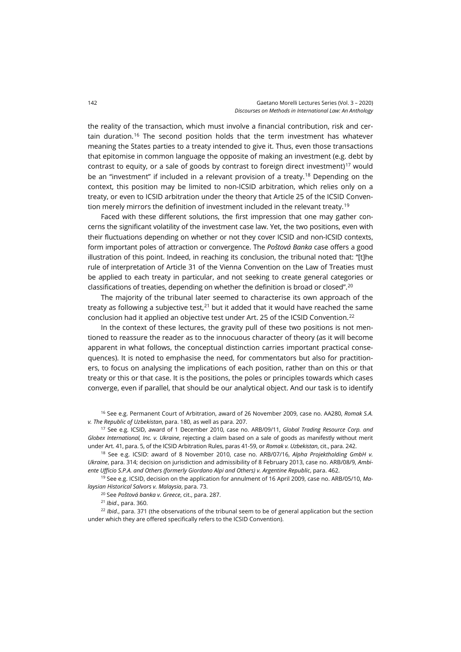the reality of the transaction, which must involve a financial contribution, risk and certain duration.[16](#page-7-0) The second position holds that the term investment has whatever meaning the States parties to a treaty intended to give it. Thus, even those transactions that epitomise in common language the opposite of making an investment (e.g. debt by contrast to equity, or a sale of goods by contrast to foreign direct investment)<sup>[17](#page-7-1)</sup> would be an "investment" if included in a relevant provision of a treaty.<sup>[18](#page-7-2)</sup> Depending on the context, this position may be limited to non-ICSID arbitration, which relies only on a treaty, or even to ICSID arbitration under the theory that Article 25 of the ICSID Convention merely mirrors the definition of investment included in the relevant treaty.[19](#page-7-3)

Faced with these different solutions, the first impression that one may gather concerns the significant volatility of the investment case law. Yet, the two positions, even with their fluctuations depending on whether or not they cover ICSID and non-ICSID contexts, form important poles of attraction or convergence. The *Poštová Banka* case offers a good illustration of this point. Indeed, in reaching its conclusion, the tribunal noted that: "[t]he rule of interpretation of Article 31 of the Vienna Convention on the Law of Treaties must be applied to each treaty in particular, and not seeking to create general categories or classifications of treaties, depending on whether the definition is broad or closed". $^{20}$  $^{20}$  $^{20}$ 

The majority of the tribunal later seemed to characterise its own approach of the treaty as following a subjective test, $21$  but it added that it would have reached the same conclusion had it applied an objective test under Art. 25 of the ICSID Convention.<sup>[22](#page-7-6)</sup>

In the context of these lectures, the gravity pull of these two positions is not mentioned to reassure the reader as to the innocuous character of theory (as it will become apparent in what follows, the conceptual distinction carries important practical consequences). It is noted to emphasise the need, for commentators but also for practitioners, to focus on analysing the implications of each position, rather than on this or that treaty or this or that case. It is the positions, the poles or principles towards which cases converge, even if parallel, that should be our analytical object. And our task is to identify

<span id="page-7-0"></span><sup>16</sup> See e.g. Permanent Court of Arbitration, award of 26 November 2009, case no. AA280, *Romak S.A. v. The Republic of Uzbekistan*, para. 180, as well as para. 207.

<span id="page-7-1"></span><sup>17</sup> See e.g. ICSID, award of 1 December 2010, case no. ARB/09/11, *Global Trading Resource Corp. and Globex International, Inc. v. Ukraine*, rejecting a claim based on a sale of goods as manifestly without merit under Art. 41, para. 5, of the ICSID Arbitration Rules, paras 41-59, or *Romak v. Uzbekistan*, cit., para. 242.

<span id="page-7-2"></span><sup>18</sup> See e.g. ICSID: award of 8 November 2010, case no. ARB/07/16, *Alpha Projektholding GmbH v. Ukraine*, para. 314; decision on jurisdiction and admissibility of 8 February 2013, case no. ARB/08/9, *Ambiente Ufficio S.P.A. and Others (formerly Giordano Alpi and Others) v. Argentine Republic*, para. 462.

<span id="page-7-4"></span><span id="page-7-3"></span><sup>19</sup> See e.g. ICSID, decision on the application for annulment of 16 April 2009, case no. ARB/05/10, *Malaysian Historical Salvors v. Malaysia*, para. 73.

<sup>20</sup> See *Poštová banka v. Greece*, cit., para. 287.

<sup>21</sup> *Ibid*., para. 360.

<span id="page-7-6"></span><span id="page-7-5"></span><sup>22</sup> *Ibid.*, para. 371 (the observations of the tribunal seem to be of general application but the section under which they are offered specifically refers to the ICSID Convention).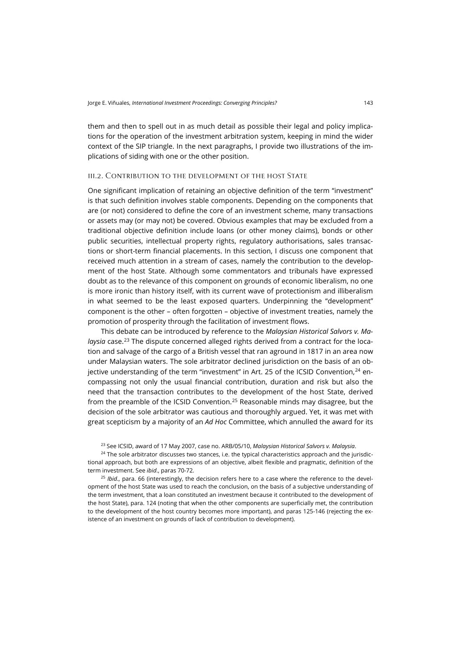them and then to spell out in as much detail as possible their legal and policy implications for the operation of the investment arbitration system, keeping in mind the wider context of the SIP triangle. In the next paragraphs, I provide two illustrations of the implications of siding with one or the other position.

#### iii.2. Contribution to the development of the host State

One significant implication of retaining an objective definition of the term "investment" is that such definition involves stable components. Depending on the components that are (or not) considered to define the core of an investment scheme, many transactions or assets may (or may not) be covered. Obvious examples that may be excluded from a traditional objective definition include loans (or other money claims), bonds or other public securities, intellectual property rights, regulatory authorisations, sales transactions or short-term financial placements. In this section, I discuss one component that received much attention in a stream of cases, namely the contribution to the development of the host State. Although some commentators and tribunals have expressed doubt as to the relevance of this component on grounds of economic liberalism, no one is more ironic than history itself, with its current wave of protectionism and illiberalism in what seemed to be the least exposed quarters. Underpinning the "development" component is the other – often forgotten – objective of investment treaties, namely the promotion of prosperity through the facilitation of investment flows.

This debate can be introduced by reference to the *Malaysian Historical Salvors v. Malaysia* case.<sup>[23](#page-8-0)</sup> The dispute concerned alleged rights derived from a contract for the location and salvage of the cargo of a British vessel that ran aground in 1817 in an area now under Malaysian waters. The sole arbitrator declined jurisdiction on the basis of an objective understanding of the term "investment" in Art. 25 of the ICSID Convention, $^{24}$  $^{24}$  $^{24}$  encompassing not only the usual financial contribution, duration and risk but also the need that the transaction contributes to the development of the host State, derived from the preamble of the ICSID Convention.[25](#page-8-2) Reasonable minds may disagree, but the decision of the sole arbitrator was cautious and thoroughly argued. Yet, it was met with great scepticism by a majority of an *Ad Hoc* Committee, which annulled the award for its

<sup>23</sup> See ICSID, award of 17 May 2007, case no. ARB/05/10, *Malaysian Historical Salvors v. Malaysia*.

<span id="page-8-1"></span><span id="page-8-0"></span><sup>24</sup> The sole arbitrator discusses two stances, i.e. the typical characteristics approach and the jurisdictional approach, but both are expressions of an objective, albeit flexible and pragmatic, definition of the term investment. See *ibid*., paras 70-72.

<span id="page-8-2"></span><sup>25</sup> *Ibid.*, para. 66 (interestingly, the decision refers here to a case where the reference to the development of the host State was used to reach the conclusion, on the basis of a subjective understanding of the term investment, that a loan constituted an investment because it contributed to the development of the host State), para. 124 (noting that when the other components are superficially met, the contribution to the development of the host country becomes more important), and paras 125-146 (rejecting the existence of an investment on grounds of lack of contribution to development).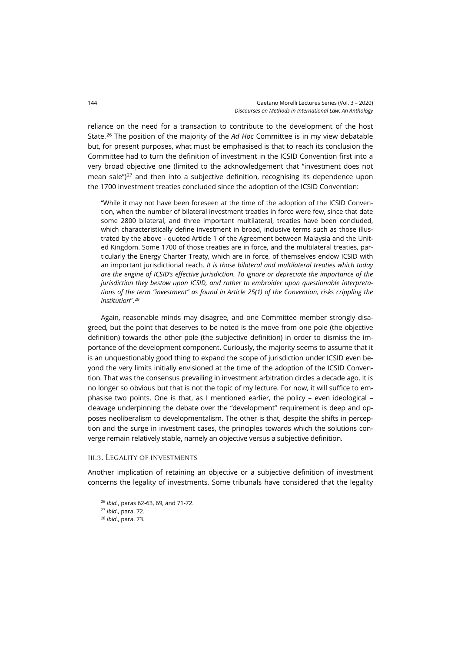reliance on the need for a transaction to contribute to the development of the host State.[26](#page-9-0) The position of the majority of the *Ad Hoc* Committee is in my view debatable but, for present purposes, what must be emphasised is that to reach its conclusion the Committee had to turn the definition of investment in the ICSID Convention first into a very broad objective one (limited to the acknowledgement that "investment does not mean sale")<sup>[27](#page-9-1)</sup> and then into a subjective definition, recognising its dependence upon the 1700 investment treaties concluded since the adoption of the ICSID Convention:

"While it may not have been foreseen at the time of the adoption of the ICSID Convention, when the number of bilateral investment treaties in force were few, since that date some 2800 bilateral, and three important multilateral, treaties have been concluded, which characteristically define investment in broad, inclusive terms such as those illustrated by the above - quoted Article 1 of the Agreement between Malaysia and the United Kingdom. Some 1700 of those treaties are in force, and the multilateral treaties, particularly the Energy Charter Treaty, which are in force, of themselves endow ICSID with an important jurisdictional reach. *It is those bilateral and multilateral treaties which today are the engine of ICSID's effective jurisdiction. To ignore or depreciate the importance of the jurisdiction they bestow upon ICSID, and rather to embroider upon questionable interpretations of the term "investment" as found in Article 25(1) of the Convention, risks crippling the institution*". [28](#page-9-2)

Again, reasonable minds may disagree, and one Committee member strongly disagreed, but the point that deserves to be noted is the move from one pole (the objective definition) towards the other pole (the subjective definition) in order to dismiss the importance of the development component. Curiously, the majority seems to assume that it is an unquestionably good thing to expand the scope of jurisdiction under ICSID even beyond the very limits initially envisioned at the time of the adoption of the ICSID Convention. That was the consensus prevailing in investment arbitration circles a decade ago. It is no longer so obvious but that is not the topic of my lecture. For now, it will suffice to emphasise two points. One is that, as I mentioned earlier, the policy – even ideological – cleavage underpinning the debate over the "development" requirement is deep and opposes neoliberalism to developmentalism. The other is that, despite the shifts in perception and the surge in investment cases, the principles towards which the solutions converge remain relatively stable, namely an objective versus a subjective definition.

## iii.3. Legality of investments

<span id="page-9-2"></span><span id="page-9-1"></span><span id="page-9-0"></span>Another implication of retaining an objective or a subjective definition of investment concerns the legality of investments. Some tribunals have considered that the legality

<sup>26</sup> *Ibid.*, paras 62-63, 69, and 71-72. <sup>27</sup> *Ibid*., para. 72. <sup>28</sup> *Ibid*., para. 73.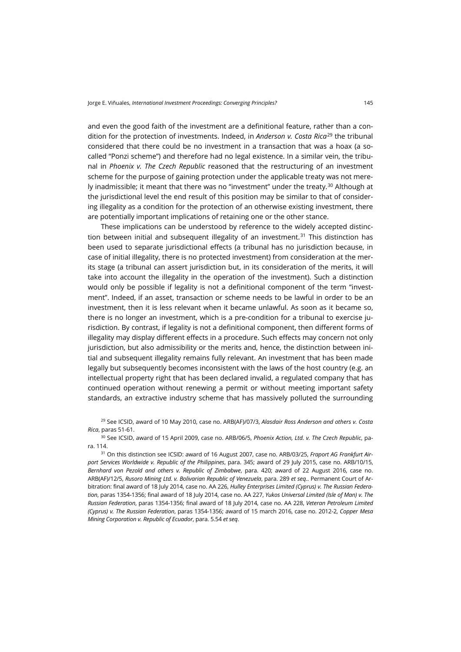and even the good faith of the investment are a definitional feature, rather than a condition for the protection of investments. Indeed, in *Anderson v. Costa Rica*[29](#page-10-0) the tribunal considered that there could be no investment in a transaction that was a hoax (a socalled "Ponzi scheme") and therefore had no legal existence. In a similar vein, the tribunal in *Phoenix v. The Czech Republic* reasoned that the restructuring of an investment scheme for the purpose of gaining protection under the applicable treaty was not mere-ly inadmissible; it meant that there was no "investment" under the treaty.<sup>[30](#page-10-1)</sup> Although at the jurisdictional level the end result of this position may be similar to that of considering illegality as a condition for the protection of an otherwise existing investment, there are potentially important implications of retaining one or the other stance.

These implications can be understood by reference to the widely accepted distinc-tion between initial and subsequent illegality of an investment.<sup>[31](#page-10-2)</sup> This distinction has been used to separate jurisdictional effects (a tribunal has no jurisdiction because, in case of initial illegality, there is no protected investment) from consideration at the merits stage (a tribunal can assert jurisdiction but, in its consideration of the merits, it will take into account the illegality in the operation of the investment). Such a distinction would only be possible if legality is not a definitional component of the term "investment". Indeed, if an asset, transaction or scheme needs to be lawful in order to be an investment, then it is less relevant when it became unlawful. As soon as it became so, there is no longer an investment, which is a pre-condition for a tribunal to exercise jurisdiction. By contrast, if legality is not a definitional component, then different forms of illegality may display different effects in a procedure. Such effects may concern not only jurisdiction, but also admissibility or the merits and, hence, the distinction between initial and subsequent illegality remains fully relevant. An investment that has been made legally but subsequently becomes inconsistent with the laws of the host country (e.g. an intellectual property right that has been declared invalid, a regulated company that has continued operation without renewing a permit or without meeting important safety standards, an extractive industry scheme that has massively polluted the surrounding

<span id="page-10-0"></span><sup>29</sup> See ICSID, award of 10 May 2010, case no. ARB(AF)/07/3, *Alasdair Ross Anderson and others v. Costa Rica*, paras 51-61.

<span id="page-10-1"></span><sup>30</sup> See ICSID, award of 15 April 2009, case no. ARB/06/5, *Phoenix Action, Ltd. v. The Czech Republic*, para. 114.

<span id="page-10-2"></span><sup>31</sup> On this distinction see ICSID: award of 16 August 2007, case no. ARB/03/25, *Fraport AG Frankfurt Airport Services Worldwide v. Republic of the Philippines*, para. 345; award of 29 July 2015, case no. ARB/10/15, *Bernhard von Pezold and others v. Republic of Zimbabwe*, para. 420; award of 22 August 2016, case no. ARB(AF)/12/5, *Rusoro Mining Ltd. v. Bolivarian Republic of Venezuela*, para. 289 *et seq*.. Permanent Court of Arbitration: final award of 18 July 2014, case no. AA 226, *Hulley Enterprises Limited (Cyprus) v. The Russian Federation*, paras 1354-1356; final award of 18 July 2014, case no. AA 227, *Yukos Universal Limited (Isle of Man) v. The Russian Federation*, paras 1354-1356; final award of 18 July 2014, case no. AA 228, *Veteran Petroleum Limited (Cyprus) v. The Russian Federation*, paras 1354-1356; award of 15 march 2016, case no. 2012-2, *Copper Mesa Mining Corporation v. Republic of Ecuador*, para. 5.54 *et seq*.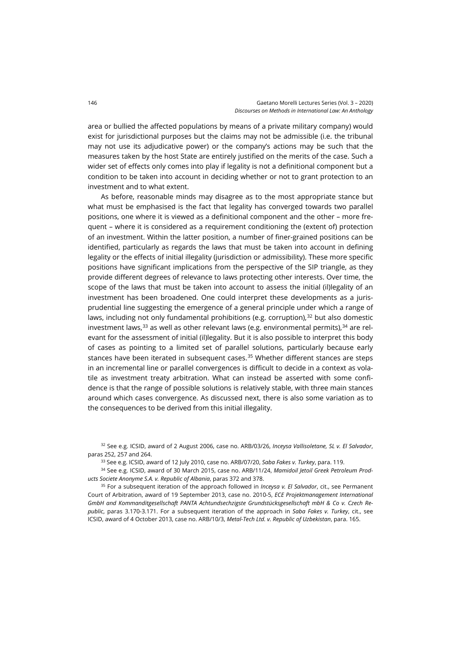area or bullied the affected populations by means of a private military company) would exist for jurisdictional purposes but the claims may not be admissible (i.e. the tribunal may not use its adjudicative power) or the company's actions may be such that the measures taken by the host State are entirely justified on the merits of the case. Such a wider set of effects only comes into play if legality is not a definitional component but a condition to be taken into account in deciding whether or not to grant protection to an investment and to what extent.

As before, reasonable minds may disagree as to the most appropriate stance but what must be emphasised is the fact that legality has converged towards two parallel positions, one where it is viewed as a definitional component and the other – more frequent – where it is considered as a requirement conditioning the (extent of) protection of an investment. Within the latter position, a number of finer-grained positions can be identified, particularly as regards the laws that must be taken into account in defining legality or the effects of initial illegality (jurisdiction or admissibility). These more specific positions have significant implications from the perspective of the SIP triangle, as they provide different degrees of relevance to laws protecting other interests. Over time, the scope of the laws that must be taken into account to assess the initial (il)legality of an investment has been broadened. One could interpret these developments as a jurisprudential line suggesting the emergence of a general principle under which a range of laws, including not only fundamental prohibitions (e.g. corruption),<sup>[32](#page-11-0)</sup> but also domestic investment laws, $^{\rm 33}$  $^{\rm 33}$  $^{\rm 33}$  as well as other relevant laws (e.g. environmental permits), $^{\rm 34}$  $^{\rm 34}$  $^{\rm 34}$  are relevant for the assessment of initial (il)legality. But it is also possible to interpret this body of cases as pointing to a limited set of parallel solutions, particularly because early stances have been iterated in subsequent cases. $35$  Whether different stances are steps in an incremental line or parallel convergences is difficult to decide in a context as volatile as investment treaty arbitration. What can instead be asserted with some confidence is that the range of possible solutions is relatively stable, with three main stances around which cases convergence. As discussed next, there is also some variation as to the consequences to be derived from this initial illegality.

<span id="page-11-0"></span><sup>32</sup> See e.g. ICSID, award of 2 August 2006, case no. ARB/03/26, *Inceysa Vallisoletane, SL v. El Salvador*, paras 252, 257 and 264.

<sup>33</sup> See e.g. ICSID, award of 12 July 2010, case no. ARB/07/20, *Saba Fakes v. Turkey*, para. 119.

<span id="page-11-2"></span><span id="page-11-1"></span><sup>34</sup> See e.g. ICSID, award of 30 March 2015, case no. ARB/11/24, *Mamidoil Jetoil Greek Petroleum Products Societe Anonyme S.A. v. Republic of Albania*, paras 372 and 378.

<span id="page-11-3"></span><sup>35</sup> For a subsequent iteration of the approach followed in *Inceysa v. El Salvador*, cit., see Permanent Court of Arbitration, award of 19 September 2013, case no. 2010-5, *ECE Projektmanagement International GmbH and Kommanditgesellschaft PANTA Achtundsechzigste Grundstücksgesellschaft mbH & Co v. Czech Republic*, paras 3.170-3.171. For a subsequent iteration of the approach in *Saba Fakes v. Turkey*, cit., see ICSID, award of 4 October 2013, case no. ARB/10/3, *Metal-Tech Ltd. v. Republic of Uzbekistan*, para. 165.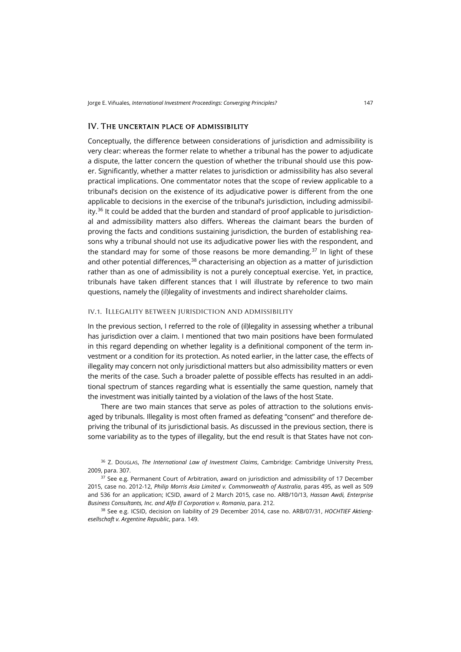## IV. The uncertain place of admissibility

Conceptually, the difference between considerations of jurisdiction and admissibility is very clear: whereas the former relate to whether a tribunal has the power to adjudicate a dispute, the latter concern the question of whether the tribunal should use this power. Significantly, whether a matter relates to jurisdiction or admissibility has also several practical implications. One commentator notes that the scope of review applicable to a tribunal's decision on the existence of its adjudicative power is different from the one applicable to decisions in the exercise of the tribunal's jurisdiction, including admissibil-ity.<sup>[36](#page-12-0)</sup> It could be added that the burden and standard of proof applicable to jurisdictional and admissibility matters also differs. Whereas the claimant bears the burden of proving the facts and conditions sustaining jurisdiction, the burden of establishing reasons why a tribunal should not use its adjudicative power lies with the respondent, and the standard may for some of those reasons be more demanding.<sup>[37](#page-12-1)</sup> In light of these and other potential differences, $38$  characterising an objection as a matter of jurisdiction rather than as one of admissibility is not a purely conceptual exercise. Yet, in practice, tribunals have taken different stances that I will illustrate by reference to two main questions, namely the (il)legality of investments and indirect shareholder claims.

#### iv.1. Illegality between jurisdiction and admissibility

In the previous section, I referred to the role of (il)legality in assessing whether a tribunal has jurisdiction over a claim. I mentioned that two main positions have been formulated in this regard depending on whether legality is a definitional component of the term investment or a condition for its protection. As noted earlier, in the latter case, the effects of illegality may concern not only jurisdictional matters but also admissibility matters or even the merits of the case. Such a broader palette of possible effects has resulted in an additional spectrum of stances regarding what is essentially the same question, namely that the investment was initially tainted by a violation of the laws of the host State.

There are two main stances that serve as poles of attraction to the solutions envisaged by tribunals. Illegality is most often framed as defeating "consent" and therefore depriving the tribunal of its jurisdictional basis. As discussed in the previous section, there is some variability as to the types of illegality, but the end result is that States have not con-

<span id="page-12-0"></span><sup>36</sup> Z. DOUGLAS, *The International Law of Investment Claims*, Cambridge: Cambridge University Press, 2009, para. 307.

<span id="page-12-1"></span><sup>37</sup> See e.g. Permanent Court of Arbitration, award on jurisdiction and admissibility of 17 December 2015, case no. 2012-12, *Philip Morris Asia Limited v. Commonwealth of Australia*, paras 495, as well as 509 and 536 for an application; ICSID, award of 2 March 2015, case no. ARB/10/13, *Hassan Awdi, Enterprise Business Consultants, Inc. and Alfa El Corporation v. Romania*, para. 212.

<span id="page-12-2"></span><sup>38</sup> See e.g. ICSID, decision on liability of 29 December 2014, case no. ARB/07/31, *HOCHTIEF Aktiengesellschaft v. Argentine Republic*, para. 149.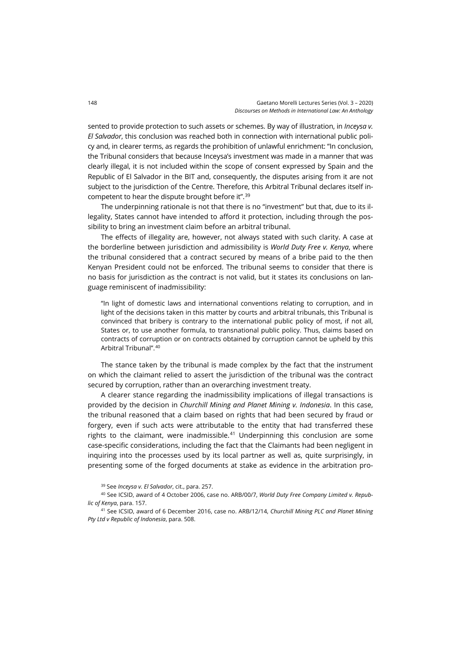sented to provide protection to such assets or schemes. By way of illustration, in *Inceysa v. El Salvador*, this conclusion was reached both in connection with international public policy and, in clearer terms, as regards the prohibition of unlawful enrichment: "In conclusion, the Tribunal considers that because Inceysa's investment was made in a manner that was clearly illegal, it is not included within the scope of consent expressed by Spain and the Republic of El Salvador in the BIT and, consequently, the disputes arising from it are not subject to the jurisdiction of the Centre. Therefore, this Arbitral Tribunal declares itself incompetent to hear the dispute brought before it". [39](#page-13-0)

The underpinning rationale is not that there is no "investment" but that, due to its illegality, States cannot have intended to afford it protection, including through the possibility to bring an investment claim before an arbitral tribunal.

The effects of illegality are, however, not always stated with such clarity. A case at the borderline between jurisdiction and admissibility is *World Duty Free v. Kenya*, where the tribunal considered that a contract secured by means of a bribe paid to the then Kenyan President could not be enforced. The tribunal seems to consider that there is no basis for jurisdiction as the contract is not valid, but it states its conclusions on language reminiscent of inadmissibility:

"In light of domestic laws and international conventions relating to corruption, and in light of the decisions taken in this matter by courts and arbitral tribunals, this Tribunal is convinced that bribery is contrary to the international public policy of most, if not all, States or, to use another formula, to transnational public policy. Thus, claims based on contracts of corruption or on contracts obtained by corruption cannot be upheld by this Arbitral Tribunal". [40](#page-13-1)

The stance taken by the tribunal is made complex by the fact that the instrument on which the claimant relied to assert the jurisdiction of the tribunal was the contract secured by corruption, rather than an overarching investment treaty.

A clearer stance regarding the inadmissibility implications of illegal transactions is provided by the decision in *Churchill Mining and Planet Mining v. Indonesia*. In this case, the tribunal reasoned that a claim based on rights that had been secured by fraud or forgery, even if such acts were attributable to the entity that had transferred these rights to the claimant, were inadmissible. $41$  Underpinning this conclusion are some case-specific considerations, including the fact that the Claimants had been negligent in inquiring into the processes used by its local partner as well as, quite surprisingly, in presenting some of the forged documents at stake as evidence in the arbitration pro-

<sup>39</sup> See *Inceysa v. El Salvador*, cit., para. 257.

<span id="page-13-1"></span><span id="page-13-0"></span><sup>40</sup> See ICSID, award of 4 October 2006, case no. ARB/00/7, *World Duty Free Company Limited v. Republic of Kenya*, para. 157.

<span id="page-13-2"></span><sup>41</sup> See ICSID, award of 6 December 2016, case no. ARB/12/14, *Churchill Mining PLC and Planet Mining Pty Ltd v Republic of Indonesia*, para. 508.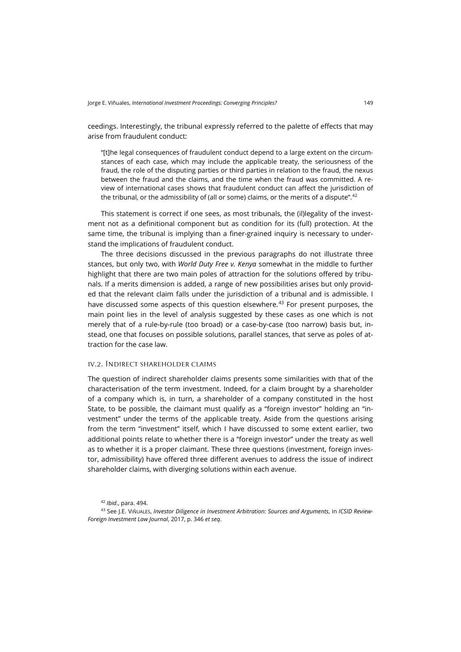ceedings. Interestingly, the tribunal expressly referred to the palette of effects that may arise from fraudulent conduct:

"[t]he legal consequences of fraudulent conduct depend to a large extent on the circumstances of each case, which may include the applicable treaty, the seriousness of the fraud, the role of the disputing parties or third parties in relation to the fraud, the nexus between the fraud and the claims, and the time when the fraud was committed. A review of international cases shows that fraudulent conduct can affect the jurisdiction of the tribunal, or the admissibility of (all or some) claims, or the merits of a dispute".<sup>[42](#page-14-0)</sup>

This statement is correct if one sees, as most tribunals, the (il)legality of the investment not as a definitional component but as condition for its (full) protection. At the same time, the tribunal is implying than a finer-grained inquiry is necessary to understand the implications of fraudulent conduct.

The three decisions discussed in the previous paragraphs do not illustrate three stances, but only two, with *World Duty Free v. Kenya* somewhat in the middle to further highlight that there are two main poles of attraction for the solutions offered by tribunals. If a merits dimension is added, a range of new possibilities arises but only provided that the relevant claim falls under the jurisdiction of a tribunal and is admissible. I have discussed some aspects of this question elsewhere.<sup>[43](#page-14-1)</sup> For present purposes, the main point lies in the level of analysis suggested by these cases as one which is not merely that of a rule-by-rule (too broad) or a case-by-case (too narrow) basis but, instead, one that focuses on possible solutions, parallel stances, that serve as poles of attraction for the case law.

## iv.2. Indirect shareholder claims

The question of indirect shareholder claims presents some similarities with that of the characterisation of the term investment. Indeed, for a claim brought by a shareholder of a company which is, in turn, a shareholder of a company constituted in the host State, to be possible, the claimant must qualify as a "foreign investor" holding an "investment" under the terms of the applicable treaty. Aside from the questions arising from the term "investment" itself, which I have discussed to some extent earlier, two additional points relate to whether there is a "foreign investor" under the treaty as well as to whether it is a proper claimant. These three questions (investment, foreign investor, admissibility) have offered three different avenues to address the issue of indirect shareholder claims, with diverging solutions within each avenue.

<sup>42</sup> *Ibid*., para. 494.

<span id="page-14-1"></span><span id="page-14-0"></span><sup>43</sup> See J.E. VIÑUALES, *Investor Diligence in Investment Arbitration: Sources and Arguments*, in *ICSID Review-Foreign Investment Law Journal*, 2017, p. 346 *et seq*.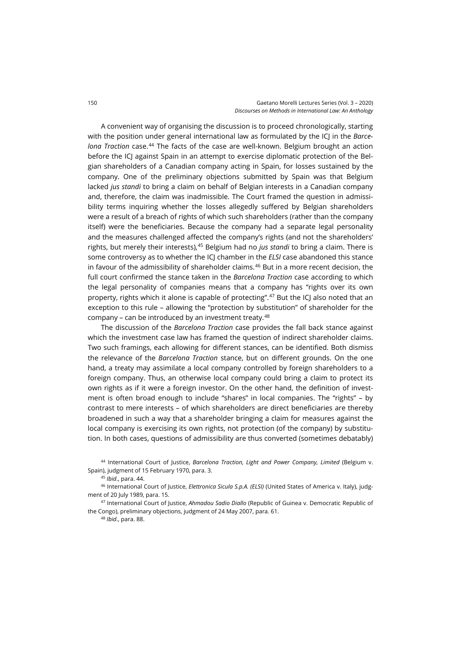A convenient way of organising the discussion is to proceed chronologically, starting with the position under general international law as formulated by the ICJ in the *Barcelona Traction* case.[44](#page-15-0) The facts of the case are well-known. Belgium brought an action before the ICJ against Spain in an attempt to exercise diplomatic protection of the Belgian shareholders of a Canadian company acting in Spain, for losses sustained by the company. One of the preliminary objections submitted by Spain was that Belgium lacked *jus standi* to bring a claim on behalf of Belgian interests in a Canadian company and, therefore, the claim was inadmissible. The Court framed the question in admissibility terms inquiring whether the losses allegedly suffered by Belgian shareholders were a result of a breach of rights of which such shareholders (rather than the company itself) were the beneficiaries. Because the company had a separate legal personality and the measures challenged affected the company's rights (and not the shareholders' rights, but merely their interests),[45](#page-15-1) Belgium had no *jus standi* to bring a claim. There is some controversy as to whether the ICJ chamber in the *ELSI* case abandoned this stance in favour of the admissibility of shareholder claims.<sup>[46](#page-15-2)</sup> But in a more recent decision, the full court confirmed the stance taken in the *Barcelona Traction* case according to which the legal personality of companies means that a company has "rights over its own property, rights which it alone is capable of protecting".<sup>[47](#page-15-3)</sup> But the ICJ also noted that an exception to this rule – allowing the "protection by substitution" of shareholder for the company – can be introduced by an investment treaty. $48$ 

The discussion of the *Barcelona Traction* case provides the fall back stance against which the investment case law has framed the question of indirect shareholder claims. Two such framings, each allowing for different stances, can be identified. Both dismiss the relevance of the *Barcelona Traction* stance, but on different grounds. On the one hand, a treaty may assimilate a local company controlled by foreign shareholders to a foreign company. Thus, an otherwise local company could bring a claim to protect its own rights as if it were a foreign investor. On the other hand, the definition of investment is often broad enough to include "shares" in local companies. The "rights" – by contrast to mere interests – of which shareholders are direct beneficiaries are thereby broadened in such a way that a shareholder bringing a claim for measures against the local company is exercising its own rights, not protection (of the company) by substitution. In both cases, questions of admissibility are thus converted (sometimes debatably)

<span id="page-15-4"></span><span id="page-15-3"></span><sup>47</sup> International Court of Justice, *Ahmadou Sadio Diallo* (Republic of Guinea v. Democratic Republic of the Congo), preliminary objections, judgment of 24 May 2007, para. 61.

<sup>48</sup> *Ibid*., para. 88.

<span id="page-15-0"></span><sup>44</sup> International Court of Justice, *Barcelona Traction, Light and Power Company, Limited* (Belgium v. Spain), judgment of 15 February 1970, para. 3.

<sup>45</sup> *Ibid*., para. 44.

<span id="page-15-2"></span><span id="page-15-1"></span><sup>46</sup> International Court of Justice, *Elettronica Sicula S.p.A. (ELSI)* (United States of America v. Italy), judgment of 20 July 1989, para. 15.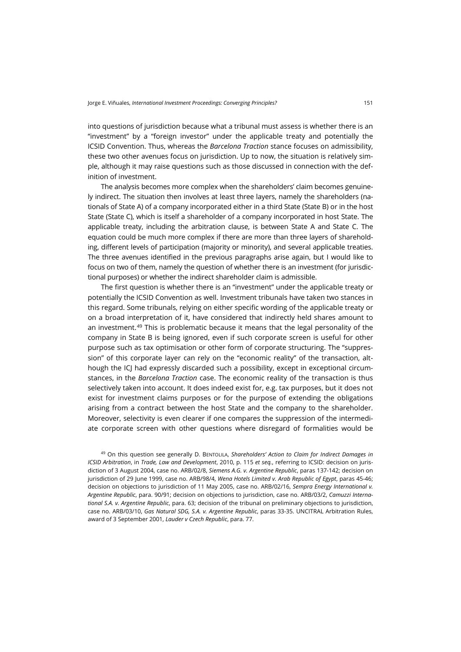into questions of jurisdiction because what a tribunal must assess is whether there is an "investment" by a "foreign investor" under the applicable treaty and potentially the ICSID Convention. Thus, whereas the *Barcelona Traction* stance focuses on admissibility, these two other avenues focus on jurisdiction. Up to now, the situation is relatively simple, although it may raise questions such as those discussed in connection with the definition of investment.

The analysis becomes more complex when the shareholders' claim becomes genuinely indirect. The situation then involves at least three layers, namely the shareholders (nationals of State A) of a company incorporated either in a third State (State B) or in the host State (State C), which is itself a shareholder of a company incorporated in host State. The applicable treaty, including the arbitration clause, is between State A and State C. The equation could be much more complex if there are more than three layers of shareholding, different levels of participation (majority or minority), and several applicable treaties. The three avenues identified in the previous paragraphs arise again, but I would like to focus on two of them, namely the question of whether there is an investment (for jurisdictional purposes) or whether the indirect shareholder claim is admissible.

The first question is whether there is an "investment" under the applicable treaty or potentially the ICSID Convention as well. Investment tribunals have taken two stances in this regard. Some tribunals, relying on either specific wording of the applicable treaty or on a broad interpretation of it, have considered that indirectly held shares amount to an investment.[49](#page-16-0) This is problematic because it means that the legal personality of the company in State B is being ignored, even if such corporate screen is useful for other purpose such as tax optimisation or other form of corporate structuring. The "suppression" of this corporate layer can rely on the "economic reality" of the transaction, although the ICJ had expressly discarded such a possibility, except in exceptional circumstances, in the *Barcelona Traction* case. The economic reality of the transaction is thus selectively taken into account. It does indeed exist for, e.g. tax purposes, but it does not exist for investment claims purposes or for the purpose of extending the obligations arising from a contract between the host State and the company to the shareholder. Moreover, selectivity is even clearer if one compares the suppression of the intermediate corporate screen with other questions where disregard of formalities would be

<span id="page-16-0"></span><sup>49</sup> On this question see generally D. BENTOLILA, *Shareholders' Action to Claim for Indirect Damages in ICSID Arbitration*, in *Trade, Law and Development*, 2010, p. 115 *et seq.*, referring to ICSID: decision on jurisdiction of 3 August 2004, case no. ARB/02/8, *Siemens A.G. v. Argentine Republic*, paras 137-142; decision on jurisdiction of 29 June 1999, case no. ARB/98/4, *Wena Hotels Limited v. Arab Republic of Egypt*, paras 45-46; decision on objections to jurisdiction of 11 May 2005, case no. ARB/02/16, *Sempra Energy International v. Argentine Republic*, para. 90/91; decision on objections to jurisdiction, case no. ARB/03/2, *Camuzzi International S.A. v. Argentine Republic*, para. 63; decision of the tribunal on preliminary objections to jurisdiction, case no. ARB/03/10, *Gas Natural SDG, S.A. v. Argentine Republic*, paras 33-35. UNCITRAL Arbitration Rules, award of 3 September 2001, *Lauder v Czech Republic*, para. 77.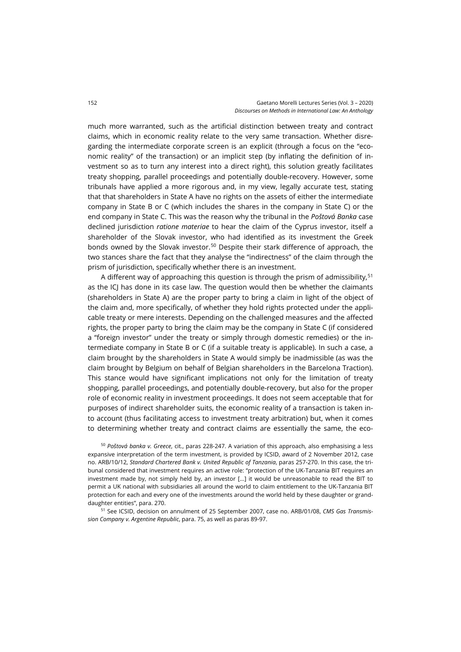much more warranted, such as the artificial distinction between treaty and contract claims, which in economic reality relate to the very same transaction. Whether disregarding the intermediate corporate screen is an explicit (through a focus on the "economic reality" of the transaction) or an implicit step (by inflating the definition of investment so as to turn any interest into a direct right), this solution greatly facilitates treaty shopping, parallel proceedings and potentially double-recovery. However, some tribunals have applied a more rigorous and, in my view, legally accurate test, stating that that shareholders in State A have no rights on the assets of either the intermediate company in State B or C (which includes the shares in the company in State C) or the end company in State C. This was the reason why the tribunal in the *Poštová Banka* case declined jurisdiction *ratione materiae* to hear the claim of the Cyprus investor, itself a shareholder of the Slovak investor, who had identified as its investment the Greek bonds owned by the Slovak investor.<sup>[50](#page-17-0)</sup> Despite their stark difference of approach, the two stances share the fact that they analyse the "indirectness" of the claim through the prism of jurisdiction, specifically whether there is an investment.

A different way of approaching this question is through the prism of admissibility, <sup>[51](#page-17-1)</sup> as the ICJ has done in its case law. The question would then be whether the claimants (shareholders in State A) are the proper party to bring a claim in light of the object of the claim and, more specifically, of whether they hold rights protected under the applicable treaty or mere interests. Depending on the challenged measures and the affected rights, the proper party to bring the claim may be the company in State C (if considered a "foreign investor" under the treaty or simply through domestic remedies) or the intermediate company in State B or C (if a suitable treaty is applicable). In such a case, a claim brought by the shareholders in State A would simply be inadmissible (as was the claim brought by Belgium on behalf of Belgian shareholders in the Barcelona Traction). This stance would have significant implications not only for the limitation of treaty shopping, parallel proceedings, and potentially double-recovery, but also for the proper role of economic reality in investment proceedings. It does not seem acceptable that for purposes of indirect shareholder suits, the economic reality of a transaction is taken into account (thus facilitating access to investment treaty arbitration) but, when it comes to determining whether treaty and contract claims are essentially the same, the eco-

<span id="page-17-0"></span><sup>50</sup> *Poštová banka v. Greece*, cit., paras 228-247. A variation of this approach, also emphasising a less expansive interpretation of the term investment, is provided by ICSID, award of 2 November 2012, case no. ARB/10/12, *Standard Chartered Bank v. United Republic of Tanzania*, paras 257-270. In this case, the tribunal considered that investment requires an active role: "protection of the UK-Tanzania BIT requires an investment made by, not simply held by, an investor […] it would be unreasonable to read the BIT to permit a UK national with subsidiaries all around the world to claim entitlement to the UK-Tanzania BIT protection for each and every one of the investments around the world held by these daughter or granddaughter entities", para. 270.

<span id="page-17-1"></span><sup>51</sup> See ICSID, decision on annulment of 25 September 2007, case no. ARB/01/08, *CMS Gas Transmission Company v. Argentine Republic*, para. 75, as well as paras 89-97.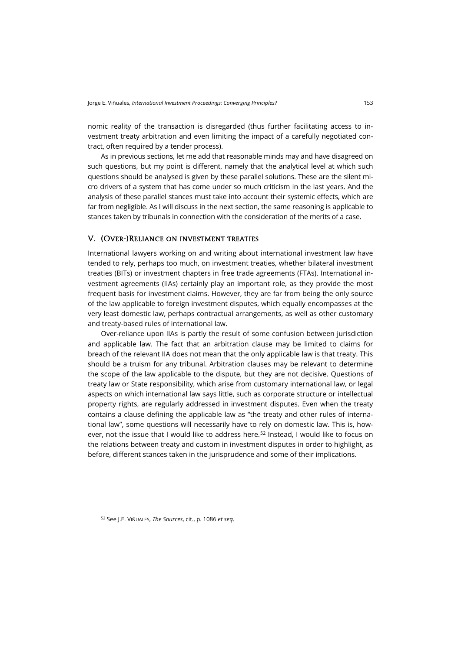nomic reality of the transaction is disregarded (thus further facilitating access to investment treaty arbitration and even limiting the impact of a carefully negotiated contract, often required by a tender process).

As in previous sections, let me add that reasonable minds may and have disagreed on such questions, but my point is different, namely that the analytical level at which such questions should be analysed is given by these parallel solutions. These are the silent micro drivers of a system that has come under so much criticism in the last years. And the analysis of these parallel stances must take into account their systemic effects, which are far from negligible. As I will discuss in the next section, the same reasoning is applicable to stances taken by tribunals in connection with the consideration of the merits of a case.

## V. (Over-)Reliance on investment treaties

International lawyers working on and writing about international investment law have tended to rely, perhaps too much, on investment treaties, whether bilateral investment treaties (BITs) or investment chapters in free trade agreements (FTAs). International investment agreements (IIAs) certainly play an important role, as they provide the most frequent basis for investment claims. However, they are far from being the only source of the law applicable to foreign investment disputes, which equally encompasses at the very least domestic law, perhaps contractual arrangements, as well as other customary and treaty-based rules of international law.

<span id="page-18-0"></span>Over-reliance upon IIAs is partly the result of some confusion between jurisdiction and applicable law. The fact that an arbitration clause may be limited to claims for breach of the relevant IIA does not mean that the only applicable law is that treaty. This should be a truism for any tribunal. Arbitration clauses may be relevant to determine the scope of the law applicable to the dispute, but they are not decisive. Questions of treaty law or State responsibility, which arise from customary international law, or legal aspects on which international law says little, such as corporate structure or intellectual property rights, are regularly addressed in investment disputes. Even when the treaty contains a clause defining the applicable law as "the treaty and other rules of international law", some questions will necessarily have to rely on domestic law. This is, how-ever, not the issue that I would like to address here.<sup>[52](#page-18-0)</sup> Instead, I would like to focus on the relations between treaty and custom in investment disputes in order to highlight, as before, different stances taken in the jurisprudence and some of their implications.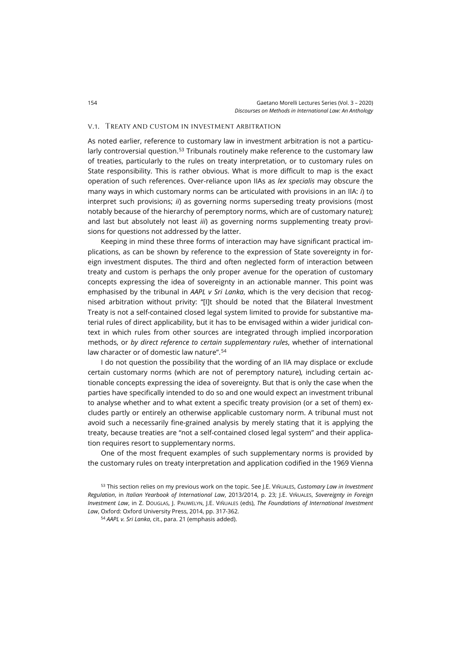#### v.1. Treaty and custom in investment arbitration

As noted earlier, reference to customary law in investment arbitration is not a particularly controversial question.<sup>53</sup> Tribunals routinely make reference to the customary law of treaties, particularly to the rules on treaty interpretation, or to customary rules on State responsibility. This is rather obvious. What is more difficult to map is the exact operation of such references. Over-reliance upon IIAs as *lex specialis* may obscure the many ways in which customary norms can be articulated with provisions in an IIA: *i*) to interpret such provisions; *ii*) as governing norms superseding treaty provisions (most notably because of the hierarchy of peremptory norms, which are of customary nature); and last but absolutely not least *iii*) as governing norms supplementing treaty provisions for questions not addressed by the latter.

Keeping in mind these three forms of interaction may have significant practical implications, as can be shown by reference to the expression of State sovereignty in foreign investment disputes. The third and often neglected form of interaction between treaty and custom is perhaps the only proper avenue for the operation of customary concepts expressing the idea of sovereignty in an actionable manner. This point was emphasised by the tribunal in *AAPL v Sri Lanka*, which is the very decision that recognised arbitration without privity: "[I]t should be noted that the Bilateral Investment Treaty is not a self-contained closed legal system limited to provide for substantive material rules of direct applicability, but it has to be envisaged within a wider juridical context in which rules from other sources are integrated through implied incorporation methods, or *by direct reference to certain supplementary rules*, whether of international law character or of domestic law nature". [54](#page-19-1)

I do not question the possibility that the wording of an IIA may displace or exclude certain customary norms (which are not of peremptory nature), including certain actionable concepts expressing the idea of sovereignty. But that is only the case when the parties have specifically intended to do so and one would expect an investment tribunal to analyse whether and to what extent a specific treaty provision (or a set of them) excludes partly or entirely an otherwise applicable customary norm. A tribunal must not avoid such a necessarily fine-grained analysis by merely stating that it is applying the treaty, because treaties are "not a self-contained closed legal system" and their application requires resort to supplementary norms.

One of the most frequent examples of such supplementary norms is provided by the customary rules on treaty interpretation and application codified in the 1969 Vienna

<sup>54</sup> *AAPL v. Sri Lanka*, cit., para. 21 (emphasis added).

<span id="page-19-1"></span><span id="page-19-0"></span><sup>53</sup> This section relies on my previous work on the topic. See J.E. VIÑUALES, *Customary Law in Investment Regulation*, in *Italian Yearbook of International Law*, 2013/2014, p. 23; J.E. VIÑUALES, *Sovereignty in Foreign Investment Law*, in Z. DOUGLAS, J. PAUWELYN, J.E. VIÑUALES (eds), *The Foundations of International Investment Law*, Oxford: Oxford University Press, 2014, pp. 317-362.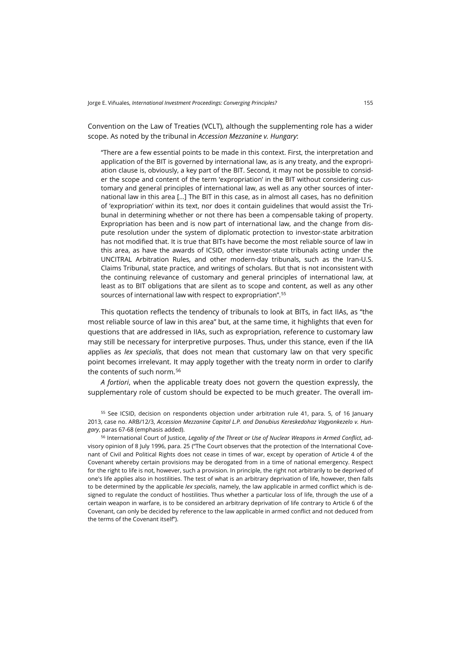Convention on the Law of Treaties (VCLT), although the supplementing role has a wider scope. As noted by the tribunal in *Accession Mezzanine v. Hungary*:

"There are a few essential points to be made in this context. First, the interpretation and application of the BIT is governed by international law, as is any treaty, and the expropriation clause is, obviously, a key part of the BIT. Second, it may not be possible to consider the scope and content of the term 'expropriation' in the BIT without considering customary and general principles of international law, as well as any other sources of international law in this area […] The BIT in this case, as in almost all cases, has no definition of 'expropriation' within its text, nor does it contain guidelines that would assist the Tribunal in determining whether or not there has been a compensable taking of property. Expropriation has been and is now part of international law, and the change from dispute resolution under the system of diplomatic protection to investor-state arbitration has not modified that. It is true that BITs have become the most reliable source of law in this area, as have the awards of ICSID, other investor-state tribunals acting under the UNCITRAL Arbitration Rules, and other modern-day tribunals, such as the Iran-U.S. Claims Tribunal, state practice, and writings of scholars. But that is not inconsistent with the continuing relevance of customary and general principles of international law, at least as to BIT obligations that are silent as to scope and content, as well as any other sources of international law with respect to expropriation". [55](#page-20-0)

This quotation reflects the tendency of tribunals to look at BITs, in fact IIAs, as "the most reliable source of law in this area" but, at the same time, it highlights that even for questions that are addressed in IIAs, such as expropriation, reference to customary law may still be necessary for interpretive purposes. Thus, under this stance, even if the IIA applies as *lex specialis*, that does not mean that customary law on that very specific point becomes irrelevant. It may apply together with the treaty norm in order to clarify the contents of such norm.<sup>[56](#page-20-1)</sup>

*A fortiori*, when the applicable treaty does not govern the question expressly, the supplementary role of custom should be expected to be much greater. The overall im-

<span id="page-20-0"></span><sup>55</sup> See ICSID, decision on respondents objection under arbitration rule 41, para. 5, of 16 January 2013, case no. ARB/12/3, *Accession Mezzanine Capital L.P. and Danubius Kereskedohaz Vagyonkezelo v. Hungary*, paras 67-68 (emphasis added).

<span id="page-20-1"></span><sup>56</sup> International Court of Justice, *Legality of the Threat or Use of Nuclear Weapons in Armed Conflict*, advisory opinion of 8 July 1996, para. 25 ("The Court observes that the protection of the International Covenant of Civil and Political Rights does not cease in times of war, except by operation of Article 4 of the Covenant whereby certain provisions may be derogated from in a time of national emergency. Respect for the right to life is not, however, such a provision. In principle, the right not arbitrarily to be deprived of one's life applies also in hostilities. The test of what is an arbitrary deprivation of life, however, then falls to be determined by the applicable *lex specialis*, namely, the law applicable in armed conflict which is designed to regulate the conduct of hostilities. Thus whether a particular loss of life, through the use of a certain weapon in warfare, is to be considered an arbitrary deprivation of life contrary to Article 6 of the Covenant, can only be decided by reference to the law applicable in armed conflict and not deduced from the terms of the Covenant itself").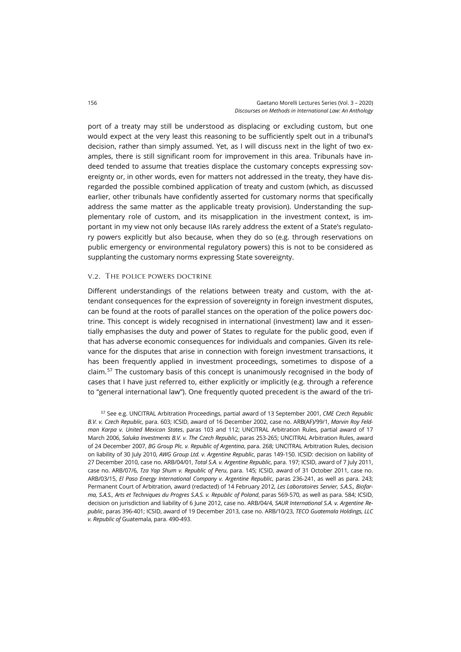port of a treaty may still be understood as displacing or excluding custom, but one would expect at the very least this reasoning to be sufficiently spelt out in a tribunal's decision, rather than simply assumed. Yet, as I will discuss next in the light of two examples, there is still significant room for improvement in this area. Tribunals have indeed tended to assume that treaties displace the customary concepts expressing sovereignty or, in other words, even for matters not addressed in the treaty, they have disregarded the possible combined application of treaty and custom (which, as discussed earlier, other tribunals have confidently asserted for customary norms that specifically address the same matter as the applicable treaty provision). Understanding the supplementary role of custom, and its misapplication in the investment context, is important in my view not only because IIAs rarely address the extent of a State's regulatory powers explicitly but also because, when they do so (e.g. through reservations on public emergency or environmental regulatory powers) this is not to be considered as supplanting the customary norms expressing State sovereignty.

## v.2. The police powers doctrine

Different understandings of the relations between treaty and custom, with the attendant consequences for the expression of sovereignty in foreign investment disputes, can be found at the roots of parallel stances on the operation of the police powers doctrine. This concept is widely recognised in international (investment) law and it essentially emphasises the duty and power of States to regulate for the public good, even if that has adverse economic consequences for individuals and companies. Given its relevance for the disputes that arise in connection with foreign investment transactions, it has been frequently applied in investment proceedings, sometimes to dispose of a claim.[57](#page-21-0) The customary basis of this concept is unanimously recognised in the body of cases that I have just referred to, either explicitly or implicitly (e.g. through a reference to "general international law"). One frequently quoted precedent is the award of the tri-

<span id="page-21-0"></span><sup>57</sup> See e.g. UNCITRAL Arbitration Proceedings, partial award of 13 September 2001, *CME Czech Republic B.V. v. Czech Republic*, para. 603; ICSID, award of 16 December 2002, case no. ARB(AF)/99/1, *Marvin Roy Feldman Karpa v. United Mexican States*, paras 103 and 112; UNCITRAL Arbitration Rules, partial award of 17 March 2006, *Saluka Investments B.V. v. The Czech Republic*, paras 253-265; UNCITRAL Arbitration Rules, award of 24 December 2007, *BG Group Plc. v. Republic of Argentina*, para. 268; UNCITRAL Arbitration Rules, decision on liability of 30 July 2010, *AWG Group Ltd. v. Argentine Republic*, paras 149-150. ICSID: decision on liability of 27 December 2010, case no. ARB/04/01, *Total S.A. v. Argentine Republic*, para. 197; ICSID, award of 7 July 2011, case no. ARB/07/6, *Tza Yap Shum v. Republic of Peru*, para. 145; ICSID, award of 31 October 2011, case no. ARB/03/15, *El Paso Energy International Company v. Argentine Republic*, paras 236-241, as well as para. 243; Permanent Court of Arbitration, award (redacted) of 14 February 2012, *Les Laboratoires Servier, S.A.S., Biofarma, S.A.S., Arts et Techniques du Progres S.A.S. v. Republic of Poland*, paras 569-570, as well as para. 584; ICSID, decision on jurisdiction and liability of 6 June 2012, case no. ARB/04/4, *SAUR International S.A. v. Argentine Republic*, paras 396-401; ICSID, award of 19 December 2013, case no. ARB/10/23, *TECO Guatemala Holdings, LLC v. Republic of* Guatemala, para. 490-493.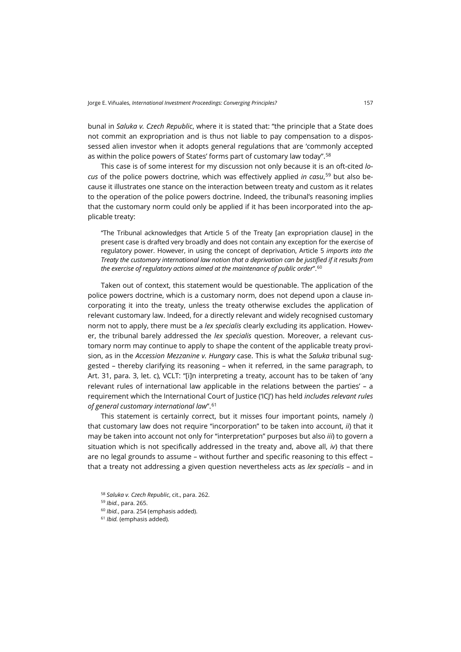bunal in *Saluka v. Czech Republic*, where it is stated that: "the principle that a State does not commit an expropriation and is thus not liable to pay compensation to a dispossessed alien investor when it adopts general regulations that are 'commonly accepted as within the police powers of States' forms part of customary law today". [58](#page-22-0)

This case is of some interest for my discussion not only because it is an oft-cited *locus* of the police powers doctrine, which was effectively applied *in casu*, [59](#page-22-1) but also because it illustrates one stance on the interaction between treaty and custom as it relates to the operation of the police powers doctrine. Indeed, the tribunal's reasoning implies that the customary norm could only be applied if it has been incorporated into the applicable treaty:

"The Tribunal acknowledges that Article 5 of the Treaty [an expropriation clause] in the present case is drafted very broadly and does not contain any exception for the exercise of regulatory power. However, in using the concept of deprivation, Article 5 *imports into the Treaty the customary international law notion that a deprivation can be justified if it results from the exercise of regulatory actions aimed at the maintenance of public order*".[60](#page-22-2)

Taken out of context, this statement would be questionable. The application of the police powers doctrine, which is a customary norm, does not depend upon a clause incorporating it into the treaty, unless the treaty otherwise excludes the application of relevant customary law. Indeed, for a directly relevant and widely recognised customary norm not to apply, there must be a *lex specialis* clearly excluding its application. However, the tribunal barely addressed the *lex specialis* question. Moreover, a relevant customary norm may continue to apply to shape the content of the applicable treaty provision, as in the *Accession Mezzanine v. Hungary* case. This is what the *Saluka* tribunal suggested – thereby clarifying its reasoning – when it referred, in the same paragraph, to Art. 31, para. 3, let. c), VCLT: "[i]n interpreting a treaty, account has to be taken of 'any relevant rules of international law applicable in the relations between the parties' – a requirement which the International Court of Justice ('ICJ') has held *includes relevant rules of general customary international law*". [61](#page-22-3)

This statement is certainly correct, but it misses four important points, namely *i*) that customary law does not require "incorporation" to be taken into account, *ii*) that it may be taken into account not only for "interpretation" purposes but also *iii*) to govern a situation which is not specifically addressed in the treaty and, above all, *iv*) that there are no legal grounds to assume – without further and specific reasoning to this effect – that a treaty not addressing a given question nevertheless acts as *lex specialis* – and in

<span id="page-22-0"></span><sup>58</sup> *Saluka v. Czech Republic*, cit., para. 262.

<span id="page-22-1"></span><sup>59</sup> *Ibid.*, para. 265.

<span id="page-22-2"></span><sup>60</sup> *Ibid.*, para. 254 (emphasis added).

<span id="page-22-3"></span><sup>61</sup> *Ibid.* (emphasis added).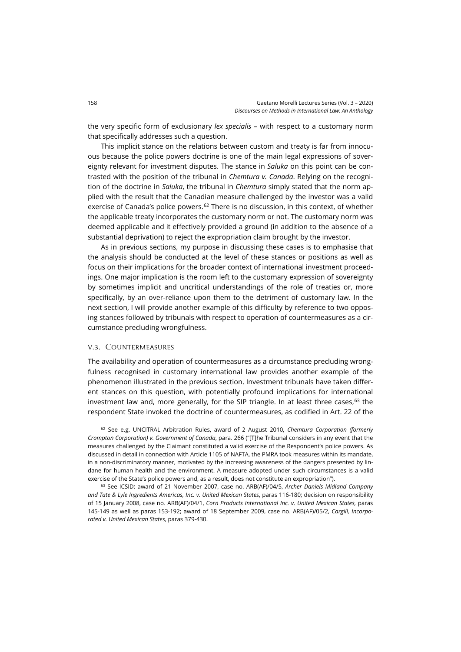the very specific form of exclusionary *lex specialis* – with respect to a customary norm that specifically addresses such a question.

This implicit stance on the relations between custom and treaty is far from innocuous because the police powers doctrine is one of the main legal expressions of sovereignty relevant for investment disputes. The stance in *Saluka* on this point can be contrasted with the position of the tribunal in *Chemtura v. Canada*. Relying on the recognition of the doctrine in *Saluka*, the tribunal in *Chemtura* simply stated that the norm applied with the result that the Canadian measure challenged by the investor was a valid exercise of Canada's police powers. $62$  There is no discussion, in this context, of whether the applicable treaty incorporates the customary norm or not. The customary norm was deemed applicable and it effectively provided a ground (in addition to the absence of a substantial deprivation) to reject the expropriation claim brought by the investor.

As in previous sections, my purpose in discussing these cases is to emphasise that the analysis should be conducted at the level of these stances or positions as well as focus on their implications for the broader context of international investment proceedings. One major implication is the room left to the customary expression of sovereignty by sometimes implicit and uncritical understandings of the role of treaties or, more specifically, by an over-reliance upon them to the detriment of customary law. In the next section, I will provide another example of this difficulty by reference to two opposing stances followed by tribunals with respect to operation of countermeasures as a circumstance precluding wrongfulness.

## v.3. Countermeasures

The availability and operation of countermeasures as a circumstance precluding wrongfulness recognised in customary international law provides another example of the phenomenon illustrated in the previous section. Investment tribunals have taken different stances on this question, with potentially profound implications for international investment law and, more generally, for the SIP triangle. In at least three cases,<sup>[63](#page-23-1)</sup> the respondent State invoked the doctrine of countermeasures, as codified in Art. 22 of the

<span id="page-23-0"></span><sup>62</sup> See e.g. UNCITRAL Arbitration Rules, award of 2 August 2010, *Chemtura Corporation (formerly Crompton Corporation) v. Government of Canada*, para. 266 ("[T]he Tribunal considers in any event that the measures challenged by the Claimant constituted a valid exercise of the Respondent's police powers. As discussed in detail in connection with Article 1105 of NAFTA, the PMRA took measures within its mandate, in a non-discriminatory manner, motivated by the increasing awareness of the dangers presented by lindane for human health and the environment. A measure adopted under such circumstances is a valid exercise of the State's police powers and, as a result, does not constitute an expropriation").

<span id="page-23-1"></span><sup>63</sup> See ICSID: award of 21 November 2007, case no. ARB(AF)/04/5, *Archer Daniels Midland Company and Tate & Lyle Ingredients Americas, Inc. v. United Mexican States*, paras 116-180; decision on responsibility of 15 January 2008, case no. ARB(AF)/04/1, *Corn Products International Inc. v. United Mexican States,* paras 145-149 as well as paras 153-192; award of 18 September 2009, case no. ARB(AF)/05/2, *Cargill, Incorporated v. United Mexican States*, paras 379-430.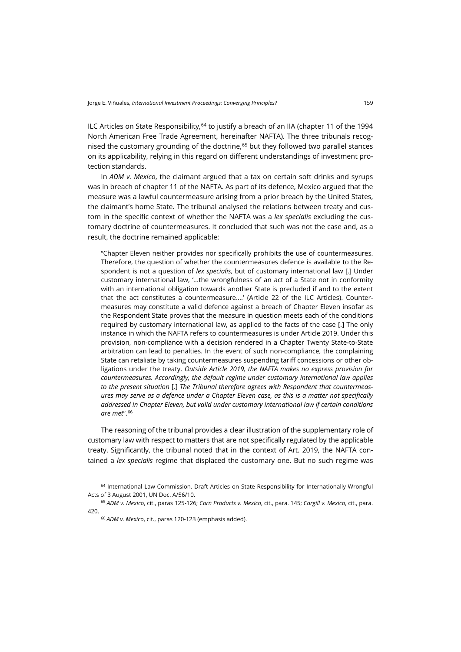ILC Articles on State Responsibility,<sup>[64](#page-24-0)</sup> to justify a breach of an IIA (chapter 11 of the 1994 North American Free Trade Agreement, hereinafter NAFTA). The three tribunals recognised the customary grounding of the doctrine, $65$  but they followed two parallel stances on its applicability, relying in this regard on different understandings of investment protection standards.

In *ADM v. Mexico*, the claimant argued that a tax on certain soft drinks and syrups was in breach of chapter 11 of the NAFTA. As part of its defence, Mexico argued that the measure was a lawful countermeasure arising from a prior breach by the United States, the claimant's home State. The tribunal analysed the relations between treaty and custom in the specific context of whether the NAFTA was a *lex specialis* excluding the customary doctrine of countermeasures. It concluded that such was not the case and, as a result, the doctrine remained applicable:

"Chapter Eleven neither provides nor specifically prohibits the use of countermeasures. Therefore, the question of whether the countermeasures defence is available to the Respondent is not a question of *lex specialis*, but of customary international law [.] Under customary international law, '...the wrongfulness of an act of a State not in conformity with an international obligation towards another State is precluded if and to the extent that the act constitutes a countermeasure....' (Article 22 of the ILC Articles). Countermeasures may constitute a valid defence against a breach of Chapter Eleven insofar as the Respondent State proves that the measure in question meets each of the conditions required by customary international law, as applied to the facts of the case [.] The only instance in which the NAFTA refers to countermeasures is under Article 2019. Under this provision, non-compliance with a decision rendered in a Chapter Twenty State-to-State arbitration can lead to penalties. In the event of such non-compliance, the complaining State can retaliate by taking countermeasures suspending tariff concessions or other obligations under the treaty. *Outside Article 2019, the NAFTA makes no express provision for countermeasures. Accordingly, the default regime under customary international law applies to the present situation* [.] *The Tribunal therefore agrees with Respondent that countermeasures may serve as a defence under a Chapter Eleven case, as this is a matter not specifically addressed in Chapter Eleven, but valid under customary international law if certain conditions are met*".[66](#page-24-2)

The reasoning of the tribunal provides a clear illustration of the supplementary role of customary law with respect to matters that are not specifically regulated by the applicable treaty. Significantly, the tribunal noted that in the context of Art. 2019, the NAFTA contained a *lex specialis* regime that displaced the customary one. But no such regime was

<span id="page-24-0"></span><sup>64</sup> International Law Commission, Draft Articles on State Responsibility for Internationally Wrongful Acts of 3 August 2001, UN Doc. A/56/10.

<span id="page-24-2"></span><span id="page-24-1"></span><sup>65</sup> *ADM v. Mexico*, cit., paras 125-126; *Corn Products v. Mexico*, cit., para. 145; *Cargill v. Mexico*, cit., para. 420.

<sup>66</sup> *ADM v. Mexico*, cit., paras 120-123 (emphasis added).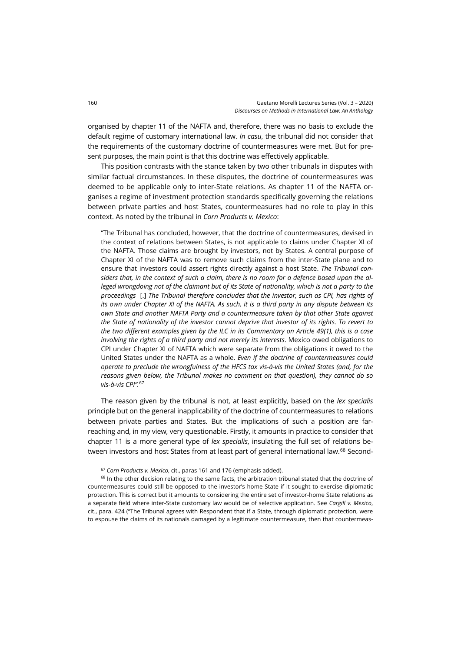organised by chapter 11 of the NAFTA and, therefore, there was no basis to exclude the default regime of customary international law. *In casu*, the tribunal did not consider that the requirements of the customary doctrine of countermeasures were met. But for present purposes, the main point is that this doctrine was effectively applicable.

This position contrasts with the stance taken by two other tribunals in disputes with similar factual circumstances. In these disputes, the doctrine of countermeasures was deemed to be applicable only to inter-State relations. As chapter 11 of the NAFTA organises a regime of investment protection standards specifically governing the relations between private parties and host States, countermeasures had no role to play in this context. As noted by the tribunal in *Corn Products v. Mexico*:

"The Tribunal has concluded, however, that the doctrine of countermeasures, devised in the context of relations between States, is not applicable to claims under Chapter XI of the NAFTA. Those claims are brought by investors, not by States. A central purpose of Chapter XI of the NAFTA was to remove such claims from the inter-State plane and to ensure that investors could assert rights directly against a host State. *The Tribunal considers that, in the context of such a claim, there is no room for a defence based upon the alleged wrongdoing not of the claimant but of its State of nationality, which is not a party to the proceedings* [.] *The Tribunal therefore concludes that the investor, such as CPI, has rights of its own under Chapter XI of the NAFTA. As such, it is a third party in any dispute between its own State and another NAFTA Party and a countermeasure taken by that other State against the State of nationality of the investor cannot deprive that investor of its rights. To revert to the two different examples given by the ILC in its Commentary on Article 49(1), this is a case involving the rights of a third party and not merely its interests*. Mexico owed obligations to CPI under Chapter XI of NAFTA which were separate from the obligations it owed to the United States under the NAFTA as a whole. *Even if the doctrine of countermeasures could operate to preclude the wrongfulness of the HFCS tax vis-à-vis the United States (and, for the reasons given below, the Tribunal makes no comment on that question), they cannot do so vis-à-vis CPI".*[67](#page-25-0)

The reason given by the tribunal is not, at least explicitly, based on the *lex specialis* principle but on the general inapplicability of the doctrine of countermeasures to relations between private parties and States. But the implications of such a position are farreaching and, in my view, very questionable. Firstly, it amounts in practice to consider that chapter 11 is a more general type of *lex specialis*, insulating the full set of relations be-tween investors and host States from at least part of general international law.<sup>[68](#page-25-1)</sup> Second-

<sup>67</sup> *Corn Products v. Mexico*, cit., paras 161 and 176 (emphasis added).

<span id="page-25-1"></span><span id="page-25-0"></span><sup>68</sup> In the other decision relating to the same facts, the arbitration tribunal stated that the doctrine of countermeasures could still be opposed to the investor's home State if it sought to exercise diplomatic protection. This is correct but it amounts to considering the entire set of investor-home State relations as a separate field where inter-State customary law would be of selective application. See *Cargill v. Mexico*, cit., para. 424 ("The Tribunal agrees with Respondent that if a State, through diplomatic protection, were to espouse the claims of its nationals damaged by a legitimate countermeasure, then that countermeas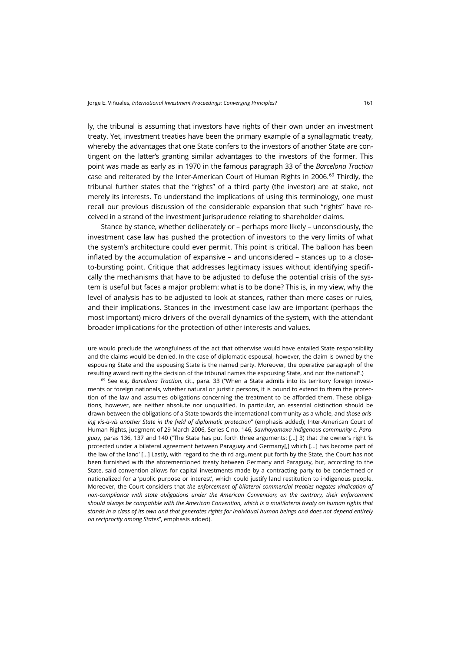ly, the tribunal is assuming that investors have rights of their own under an investment treaty. Yet, investment treaties have been the primary example of a synallagmatic treaty, whereby the advantages that one State confers to the investors of another State are contingent on the latter's granting similar advantages to the investors of the former. This point was made as early as in 1970 in the famous paragraph 33 of the *Barcelona Traction* case and reiterated by the Inter-American Court of Human Rights in 2006.<sup>[69](#page-26-0)</sup> Thirdly, the tribunal further states that the "rights" of a third party (the investor) are at stake, not merely its interests. To understand the implications of using this terminology, one must recall our previous discussion of the considerable expansion that such "rights" have received in a strand of the investment jurisprudence relating to shareholder claims.

Stance by stance, whether deliberately or – perhaps more likely – unconsciously, the investment case law has pushed the protection of investors to the very limits of what the system's architecture could ever permit. This point is critical. The balloon has been inflated by the accumulation of expansive – and unconsidered – stances up to a closeto-bursting point. Critique that addresses legitimacy issues without identifying specifically the mechanisms that have to be adjusted to defuse the potential crisis of the system is useful but faces a major problem: what is to be done? This is, in my view, why the level of analysis has to be adjusted to look at stances, rather than mere cases or rules, and their implications. Stances in the investment case law are important (perhaps the most important) micro drivers of the overall dynamics of the system, with the attendant broader implications for the protection of other interests and values.

ure would preclude the wrongfulness of the act that otherwise would have entailed State responsibility and the claims would be denied. In the case of diplomatic espousal, however, the claim is owned by the espousing State and the espousing State is the named party. Moreover, the operative paragraph of the resulting award reciting the decision of the tribunal names the espousing State, and not the national".)

<span id="page-26-0"></span><sup>69</sup> See e.g. *Barcelona Traction,* cit., para. 33 ("When a State admits into its territory foreign investments or foreign nationals, whether natural or juristic persons, it is bound to extend to them the protection of the law and assumes obligations concerning the treatment to be afforded them. These obligations, however, are neither absolute nor unqualified. In particular, an essential distinction should be drawn between the obligations of a State towards the international community as a whole, and *those arising vis-à-vis another State in the field of diplomatic protection*" (emphasis added); Inter-American Court of Human Rights, judgment of 29 March 2006, Series C no. 146, *Sawhoyamaxa indigenous community c. Paraguay*, paras 136, 137 and 140 ("The State has put forth three arguments: […] 3) that the owner's right 'is protected under a bilateral agreement between Paraguay and Germany[,] which [...] has become part of the law of the land' […] Lastly, with regard to the third argument put forth by the State, the Court has not been furnished with the aforementioned treaty between Germany and Paraguay, but, according to the State, said convention allows for capital investments made by a contracting party to be condemned or nationalized for a 'public purpose or interest', which could justify land restitution to indigenous people. Moreover, the Court considers that *the enforcement of bilateral commercial treaties negates vindication of non-compliance with state obligations under the American Convention; on the contrary, their enforcement should always be compatible with the American Convention, which is a multilateral treaty on human rights that stands in a class of its own and that generates rights for individual human beings and does not depend entirely on reciprocity among States*", emphasis added).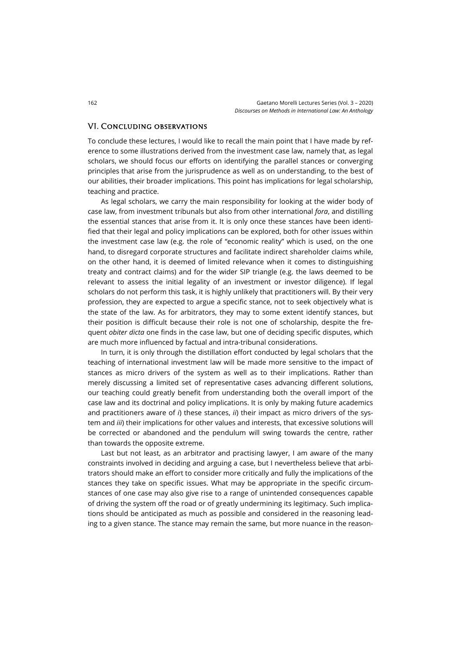## VI. Concluding observations

To conclude these lectures, I would like to recall the main point that I have made by reference to some illustrations derived from the investment case law, namely that, as legal scholars, we should focus our efforts on identifying the parallel stances or converging principles that arise from the jurisprudence as well as on understanding, to the best of our abilities, their broader implications. This point has implications for legal scholarship, teaching and practice.

As legal scholars, we carry the main responsibility for looking at the wider body of case law, from investment tribunals but also from other international *fora*, and distilling the essential stances that arise from it. It is only once these stances have been identified that their legal and policy implications can be explored, both for other issues within the investment case law (e.g. the role of "economic reality" which is used, on the one hand, to disregard corporate structures and facilitate indirect shareholder claims while, on the other hand, it is deemed of limited relevance when it comes to distinguishing treaty and contract claims) and for the wider SIP triangle (e.g. the laws deemed to be relevant to assess the initial legality of an investment or investor diligence). If legal scholars do not perform this task, it is highly unlikely that practitioners will. By their very profession, they are expected to argue a specific stance, not to seek objectively what is the state of the law. As for arbitrators, they may to some extent identify stances, but their position is difficult because their role is not one of scholarship, despite the frequent *obiter dicta* one finds in the case law, but one of deciding specific disputes, which are much more influenced by factual and intra-tribunal considerations.

In turn, it is only through the distillation effort conducted by legal scholars that the teaching of international investment law will be made more sensitive to the impact of stances as micro drivers of the system as well as to their implications. Rather than merely discussing a limited set of representative cases advancing different solutions, our teaching could greatly benefit from understanding both the overall import of the case law and its doctrinal and policy implications. It is only by making future academics and practitioners aware of *i*) these stances, *ii*) their impact as micro drivers of the system and *iii*) their implications for other values and interests, that excessive solutions will be corrected or abandoned and the pendulum will swing towards the centre, rather than towards the opposite extreme.

Last but not least, as an arbitrator and practising lawyer, I am aware of the many constraints involved in deciding and arguing a case, but I nevertheless believe that arbitrators should make an effort to consider more critically and fully the implications of the stances they take on specific issues. What may be appropriate in the specific circumstances of one case may also give rise to a range of unintended consequences capable of driving the system off the road or of greatly undermining its legitimacy. Such implications should be anticipated as much as possible and considered in the reasoning leading to a given stance. The stance may remain the same, but more nuance in the reason